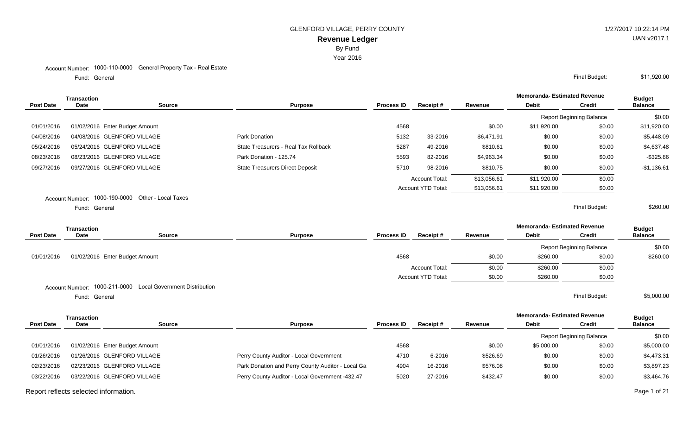Year 2016

## Account Number: 1000-110-0000 General Property Tax - Real Estate

General Final Budget: Fund: General

|                  | Transaction     |                                   |                                        |                   |                           |             | <b>Memoranda- Estimated Revenue</b> |                                 | <b>Budget</b>  |
|------------------|-----------------|-----------------------------------|----------------------------------------|-------------------|---------------------------|-------------|-------------------------------------|---------------------------------|----------------|
| <b>Post Date</b> | <b>Date</b>     | Source                            | <b>Purpose</b>                         | <b>Process ID</b> | Receipt#                  | Revenue     | <b>Debit</b>                        | <b>Credit</b>                   | <b>Balance</b> |
|                  |                 |                                   |                                        |                   |                           |             |                                     | <b>Report Beginning Balance</b> | \$0.00         |
| 01/01/2016       |                 | 01/02/2016 Enter Budget Amount    |                                        | 4568              |                           | \$0.00      | \$11,920.00                         | \$0.00                          | \$11,920.00    |
| 04/08/2016       |                 | 04/08/2016 GLENFORD VILLAGE       | Park Donation                          | 5132              | 33-2016                   | \$6,471.91  | \$0.00                              | \$0.00                          | \$5,448.09     |
| 05/24/2016       |                 | 05/24/2016 GLENFORD VILLAGE       | State Treasurers - Real Tax Rollback   | 5287              | 49-2016                   | \$810.61    | \$0.00                              | \$0.00                          | \$4,637.48     |
| 08/23/2016       |                 | 08/23/2016 GLENFORD VILLAGE       | Park Donation - 125.74                 | 5593              | 82-2016                   | \$4,963.34  | \$0.00                              | \$0.00                          | -\$325.86      |
| 09/27/2016       |                 | 09/27/2016 GLENFORD VILLAGE       | <b>State Treasurers Direct Deposit</b> | 5710              | 98-2016                   | \$810.75    | \$0.00                              | \$0.00                          | $-$1,136.61$   |
|                  |                 |                                   |                                        |                   | <b>Account Total:</b>     | \$13,056.61 | \$11.920.00                         | \$0.00                          |                |
|                  |                 |                                   |                                        |                   | <b>Account YTD Total:</b> | \$13,056.61 | \$11,920.00                         | \$0.00                          |                |
|                  | Account Number: | 1000-190-0000 Other - Local Taxes |                                        |                   |                           |             |                                     |                                 |                |
|                  | Fund: General   |                                   |                                        |                   |                           |             |                                     | Final Budget:                   | \$260.00       |

|                  | <b>Transaction</b> |                                                             |                |                   |                       |         | <b>Memoranda-Estimated Revenue</b> |                                 | <b>Budget</b>  |
|------------------|--------------------|-------------------------------------------------------------|----------------|-------------------|-----------------------|---------|------------------------------------|---------------------------------|----------------|
| <b>Post Date</b> | <b>Date</b>        | <b>Source</b>                                               | <b>Purpose</b> | <b>Process ID</b> | Receipt#              | Revenue | <b>Debit</b>                       | <b>Credit</b>                   | <b>Balance</b> |
|                  |                    |                                                             |                |                   |                       |         |                                    | <b>Report Beginning Balance</b> | \$0.00         |
| 01/01/2016       |                    | 01/02/2016 Enter Budget Amount                              |                | 4568              |                       | \$0.00  | \$260.00                           | \$0.00                          | \$260.00       |
|                  |                    |                                                             |                |                   | <b>Account Total:</b> | \$0.00  | \$260.00                           | \$0.00                          |                |
|                  |                    |                                                             |                |                   | Account YTD Total:    | \$0.00  | \$260.00                           | \$0.00                          |                |
|                  |                    | Account Number: 1000-211-0000 Local Government Distribution |                |                   |                       |         |                                    |                                 |                |
|                  | Fund: General      |                                                             |                |                   |                       |         |                                    | Final Budget:                   | \$5,000.00     |

|                  | Transaction                    |               |                                                   |                   |          |          | <b>Memoranda- Estimated Revenue</b> | <b>Budget</b>            |                |
|------------------|--------------------------------|---------------|---------------------------------------------------|-------------------|----------|----------|-------------------------------------|--------------------------|----------------|
| <b>Post Date</b> | <b>Date</b>                    | <b>Source</b> | <b>Purpose</b>                                    | <b>Process ID</b> | Receipt# | Revenue  | <b>Debit</b>                        | Credit                   | <b>Balance</b> |
|                  |                                |               |                                                   |                   |          |          |                                     | Report Beginning Balance | \$0.00         |
| 01/01/2016       | 01/02/2016 Enter Budget Amount |               |                                                   | 4568              |          | \$0.00   | \$5,000.00                          | \$0.00                   | \$5,000.00     |
| 01/26/2016       | 01/26/2016 GLENFORD VILLAGE    |               | Perry County Auditor - Local Government           | 4710              | 6-2016   | \$526.69 | \$0.00                              | \$0.00                   | \$4,473.31     |
| 02/23/2016       | 02/23/2016 GLENFORD VILLAGE    |               | Park Donation and Perry County Auditor - Local Ga | 4904              | 16-2016  | \$576.08 | \$0.00                              | \$0.00                   | \$3,897.23     |
| 03/22/2016       | 03/22/2016 GLENFORD VILLAGE    |               | Perry County Auditor - Local Government -432.47   | 5020              | 27-2016  | \$432.47 | \$0.00                              | \$0.00                   | \$3,464.76     |

Report reflects selected information. Page 1 of 21

\$11,920.00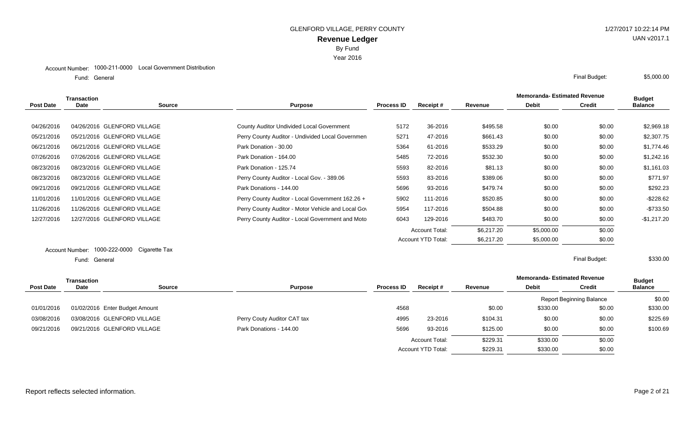Year 2016

General Final Budget: Fund: General

|            | Transaction |                             |                                                    |                   |                       |            | <b>Memoranda-Estimated Revenue</b> |               | <b>Budget</b>  |
|------------|-------------|-----------------------------|----------------------------------------------------|-------------------|-----------------------|------------|------------------------------------|---------------|----------------|
| Post Date  | Date        | <b>Source</b>               | <b>Purpose</b>                                     | <b>Process ID</b> | <b>Receipt #</b>      | Revenue    | <b>Debit</b>                       | <b>Credit</b> | <b>Balance</b> |
|            |             |                             |                                                    |                   |                       |            |                                    |               |                |
| 04/26/2016 |             | 04/26/2016 GLENFORD VILLAGE | County Auditor Undivided Local Government          | 5172              | 36-2016               | \$495.58   | \$0.00                             | \$0.00        | \$2,969.18     |
| 05/21/2016 |             | 05/21/2016 GLENFORD VILLAGE | Perry County Auditor - Undivided Local Governmen   | 5271              | 47-2016               | \$661.43   | \$0.00                             | \$0.00        | \$2,307.75     |
| 06/21/2016 |             | 06/21/2016 GLENFORD VILLAGE | Park Donation - 30.00                              | 5364              | 61-2016               | \$533.29   | \$0.00                             | \$0.00        | \$1,774.46     |
| 07/26/2016 |             | 07/26/2016 GLENFORD VILLAGE | Park Donation - 164.00                             | 5485              | 72-2016               | \$532.30   | \$0.00                             | \$0.00        | \$1,242.16     |
| 08/23/2016 |             | 08/23/2016 GLENFORD VILLAGE | Park Donation - 125.74                             | 5593              | 82-2016               | \$81.13    | \$0.00                             | \$0.00        | \$1,161.03     |
| 08/23/2016 |             | 08/23/2016 GLENFORD VILLAGE | Perry County Auditor - Local Gov. - 389.06         | 5593              | 83-2016               | \$389.06   | \$0.00                             | \$0.00        | \$771.97       |
| 09/21/2016 |             | 09/21/2016 GLENFORD VILLAGE | Park Donations - 144.00                            | 5696              | 93-2016               | \$479.74   | \$0.00                             | \$0.00        | \$292.23       |
| 11/01/2016 |             | 11/01/2016 GLENFORD VILLAGE | Perry County Auditor - Local Government 162.26 +   | 5902              | 111-2016              | \$520.85   | \$0.00                             | \$0.00        | $-$228.62$     |
| 11/26/2016 |             | 11/26/2016 GLENFORD VILLAGE | Perry County Auditor - Motor Vehicle and Local Gov | 5954              | 117-2016              | \$504.88   | \$0.00                             | \$0.00        | $-$733.50$     |
| 12/27/2016 |             | 12/27/2016 GLENFORD VILLAGE | Perry County Auditor - Local Government and Moto   | 6043              | 129-2016              | \$483.70   | \$0.00                             | \$0.00        | $-$1,217.20$   |
|            |             |                             |                                                    |                   | <b>Account Total:</b> | \$6,217.20 | \$5,000.00                         | \$0.00        |                |
|            |             |                             |                                                    |                   | Account YTD Total:    | \$6,217.20 | \$5,000.00                         | \$0.00        |                |

#### Account Number: 1000-222-0000 Cigarette Tax General Final Budget: Fund: General

|                  | <b>Transaction</b>             |        |                             |                   |                           | <b>Memoranda- Estimated Revenue</b> |              | <b>Budget</b>                   |                |
|------------------|--------------------------------|--------|-----------------------------|-------------------|---------------------------|-------------------------------------|--------------|---------------------------------|----------------|
| <b>Post Date</b> | Date                           | Source | <b>Purpose</b>              | <b>Process ID</b> | Receipt#                  | Revenue                             | <b>Debit</b> | <b>Credit</b>                   | <b>Balance</b> |
|                  |                                |        |                             |                   |                           |                                     |              | <b>Report Beginning Balance</b> | \$0.00         |
| 01/01/2016       | 01/02/2016 Enter Budget Amount |        |                             | 4568              |                           | \$0.00                              | \$330.00     | \$0.00                          | \$330.00       |
| 03/08/2016       | 03/08/2016 GLENFORD VILLAGE    |        | Perry Couty Auditor CAT tax | 4995              | 23-2016                   | \$104.31                            | \$0.00       | \$0.00                          | \$225.69       |
| 09/21/2016       | 09/21/2016 GLENFORD VILLAGE    |        | Park Donations - 144.00     | 5696              | 93-2016                   | \$125.00                            | \$0.00       | \$0.00                          | \$100.69       |
|                  |                                |        |                             |                   | <b>Account Total:</b>     | \$229.31                            | \$330.00     | \$0.00                          |                |
|                  |                                |        |                             |                   | <b>Account YTD Total:</b> | \$229.31                            | \$330.00     | \$0.00                          |                |
|                  |                                |        |                             |                   |                           |                                     |              |                                 |                |

\$330.00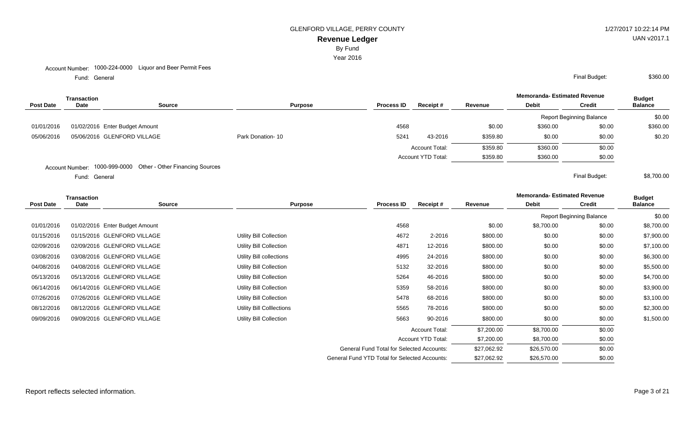By Fund

Year 2016

#### Account Number: 1000-224-0000 Liquor and Beer Permit Fees

Fund: General

|                  | <b>Transaction</b> |                                |                  |                   |                           |          | <b>Memoranda- Estimated Revenue</b> |                                 | <b>Budget</b>  |
|------------------|--------------------|--------------------------------|------------------|-------------------|---------------------------|----------|-------------------------------------|---------------------------------|----------------|
| <b>Post Date</b> | Date               | Source                         | <b>Purpose</b>   | <b>Process ID</b> | Receipt#                  | Revenue  | <b>Debit</b>                        | <b>Credit</b>                   | <b>Balance</b> |
|                  |                    |                                |                  |                   |                           |          |                                     | <b>Report Beginning Balance</b> | \$0.00         |
| 01/01/2016       |                    | 01/02/2016 Enter Budget Amount |                  | 4568              |                           | \$0.00   | \$360.00                            | \$0.00                          | \$360.00       |
| 05/06/2016       |                    | 05/06/2016 GLENFORD VILLAGE    | Park Donation-10 | 5241              | 43-2016                   | \$359.80 | \$0.00                              | \$0.00                          | \$0.20         |
|                  |                    |                                |                  |                   | <b>Account Total:</b>     | \$359.80 | \$360.00                            | \$0.00                          |                |
|                  |                    |                                |                  |                   | <b>Account YTD Total:</b> | \$359.80 | \$360.00                            | \$0.00                          |                |
|                  |                    |                                |                  |                   |                           |          |                                     |                                 |                |

Account Number: 1000-999-0000 Other - Other Financing Sources

Fund: General

**Memoranda- Estimated Revenue Source Purpose Process ID Receipt # Revenue Debit Transaction Post Date Date Budget Credit Balance** Report Beginning Balance \$0.00 01/01/2016 01/02/2016 Enter Budget Amount 2002/02/01 2010 12:00 4568 4568 50.00 \$8,700.00 \$0.00 \$8,700.00 \$8,700.00 01/15/2016 01/15/2016 GLENFORD VILLAGE Utility Bill Collection 4672 2-2016 \$800.00 \$0.00 \$0.00 \$7,900.00 02/09/2016 02/09/2016 GLENFORD VILLAGE Utility Bill Collection Utility Bill Collection 4871 12-2016 \$800.00 \$0.00 \$0.00 \$7,100.00 03/08/2016 03/08/2016 GLENFORD VILLAGE Utility Bill collections and the collections and 4995 24-2016 \$800.00 \$0.00 \$6,300.00 \$6,300.00 04/08/2016 04/08/2016 GLENFORD VILLAGE Utility Bill Collection Utility Bill Collection 5132 32-2016 \$800.00 \$0.00 \$0.00 \$5,500.00 05/13/2016 05/13/2016 GLENFORD VILLAGE Utility Bill Collection 5264 5264 46-2016 \$800.00 \$0.00 \$0.00 \$4,700.00 06/14/2016 06/14/2016 GLENFORD VILLAGE Utility Bill Collection 5359 58-2016 \$800.00 \$0.00 \$3,900.00 \$3,900.00 07/26/2016 07/26/2016 GLENFORD VILLAGE Utility Bill Collection 5478 5478 68-2016 \$800.00 \$0.00 \$0.00 \$3,100.00 08/12/2016 08/12/2016 GLENFORD VILLAGE Utility Bill Colllections 5565 78-2016 \$800.00 \$0.00 \$0.00 \$2,300.00 09/09/2016 09/09/2016 GLENFORD VILLAGE Utility Bill Collection 5663 90-2016 \$800.00 \$0.00 \$0.00 \$1,500.00 \$1,500.00 Account Total:  $$7,200.00$   $$8,700.00$  \$0.00 Account YTD Total:  $$7,200.00$   $$8,700.00$  \$0.00 General Fund Total for Selected Accounts:  $$27,062.92$   $$26,570.00$  \$0.00

General Fund YTD Total for Selected Accounts:  $$27,062.92$  \$26,570.00 \$0.00

General Final Budget: \$360.00

General Final Budget: \$8,700.00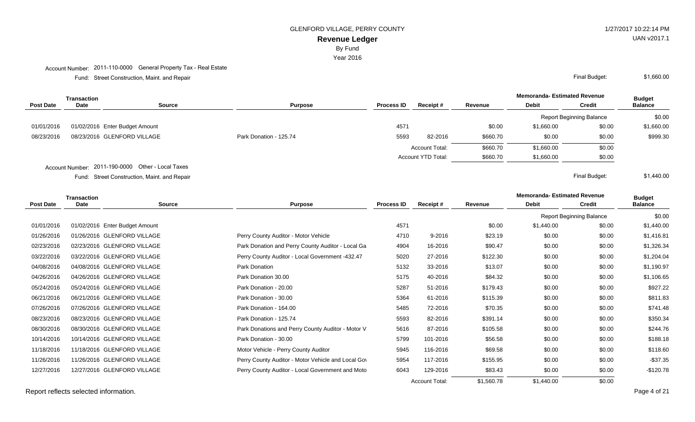By Fund

Year 2016

## Account Number: 2011-110-0000 General Property Tax - Real Estate

Street Construction, Maint. and Repair Final Budget: Fund:

|                  | <b>Transaction</b> |                                                   |                        |                   |                           |          | <b>Memoranda- Estimated Revenue</b> |                                 | <b>Budget</b>  |
|------------------|--------------------|---------------------------------------------------|------------------------|-------------------|---------------------------|----------|-------------------------------------|---------------------------------|----------------|
| <b>Post Date</b> | Date               | Source                                            | <b>Purpose</b>         | <b>Process ID</b> | Receipt#                  | Revenue  | <b>Debit</b>                        | <b>Credit</b>                   | <b>Balance</b> |
|                  |                    |                                                   |                        |                   |                           |          |                                     | <b>Report Beginning Balance</b> | \$0.00         |
| 01/01/2016       |                    | 01/02/2016 Enter Budget Amount                    |                        | 4571              |                           | \$0.00   | \$1,660.00                          | \$0.00                          | \$1,660.00     |
| 08/23/2016       |                    | 08/23/2016 GLENFORD VILLAGE                       | Park Donation - 125.74 | 5593              | 82-2016                   | \$660.70 | \$0.00                              | \$0.00                          | \$999.30       |
|                  |                    |                                                   |                        |                   | <b>Account Total:</b>     | \$660.70 | \$1,660.00                          | \$0.00                          |                |
|                  |                    |                                                   |                        |                   | <b>Account YTD Total:</b> | \$660.70 | \$1,660.00                          | \$0.00                          |                |
|                  |                    | Account Number: 2011-190-0000 Other - Local Taxes |                        |                   |                           |          |                                     |                                 |                |

Street Construction, Maint. and Repair Final Budget: Fund:

**Memoranda- Estimated Revenue Source Purpose Process ID Receipt # Revenue Debit Transaction Post Date Date Budget Credit Balance** Report Beginning Balance \$0.00 01/01/2016 01/02/2016 Enter Budget Amount 10 11/04/000 \$1,440.00 \$1,440.00 \$1,440.00 \$1,440.00 \$1,440.00 \$1,440 01/26/2016 01/26/2016 GLENFORD VILLAGE **Perry County Auditor - Motor Vehicle** 4710 9-2016 \$23.19 \$0.00 \$0.00 \$1,416.81 02/23/2016 02/23/2016 GLENFORD VILLAGE **Park Donation and Perry County Auditor - Local Ga** 4904 16-2016 \$0.01 \$0.00 \$1,326.34 03/22/2016 03/22/2016 GLENFORD VILLAGE **Perry County Auditor - Local Government -432.47** 5020 27-2016 \$122.30 \$0.00 \$1,204.04 04/08/2016 04/08/2016 GLENFORD VILLAGE **Park Donation Park Donation** 5132 33-2016 \$13.07 \$0.00 \$0.00 \$1.190.97 04/26/2016 04/26/2016 GLENFORD VILLAGE **Park Donation 30.00** 5175 5175 40-2016 \$84.32 \$0.00 \$1,106.65 05/24/2016 05/24/2016 GLENFORD VILLAGE **Park Donation - 20.00** 5287 51-2016 \$179.43 \$0.00 \$927.22 06/21/2016 06/21/2016 GLENFORD VILLAGE **Park Donation - 30.00** 5364 51-2016 5364 \$115.39 \$0.00 \$0.00 \$811.83 07/26/2016 07/26/2016 GLENFORD VILLAGE **Park Donation - 164.00** 5485 72-2016 \$70.35 \$0.00 \$0.00 \$741.48 08/23/2016 08/23/2016 GLENFORD VILLAGE **Park Donation - 125.74** 5593 5593 82-2016 \$391.14 \$0.00 \$0.00 \$350.34 08/30/2016 08/30/2016 GLENFORD VILLAGE **Park Donations and Perry County Auditor - Motor V**ehicle 5616 87-2016 \$105.58 \$0.00 \$0.00 \$244.76 10/14/2016 10/14/2016 GLENFORD VILLAGE Park Donation - 30.00 5799 101-2016 \$56.58 \$0.00 \$0.00 \$188.18 11/18/2016 11/18/2016 GLENFORD VILLAGE Motor Vehicle - Perry County Auditor 5945 116-2016 \$69.58 \$0.00 \$0.00 \$118.60 11/26/2016 11/26/2016 GLENFORD VILLAGE Perry County Auditor - Motor Vehicle and Local Government 5954 117-2016 \$155.95 \$0.00 \$0.00 -\$37.35 12/27/2016 12/27/2016 GLENFORD VILLAGE Perry County Auditor - Local Government and Motor Vehicle 6043 129-2016 \$83.43 \$0.00 \$0.00 -\$120.78 Account Total: \$1,560.78 \$1,440.00 \$0.00

Report reflects selected information. The property of a series of a series of a series of a series of a series of a series of a series of a series of a series of a series of a series of a series of a series of a series of

UAN v2017.1

\$1,660.00

\$1,440.00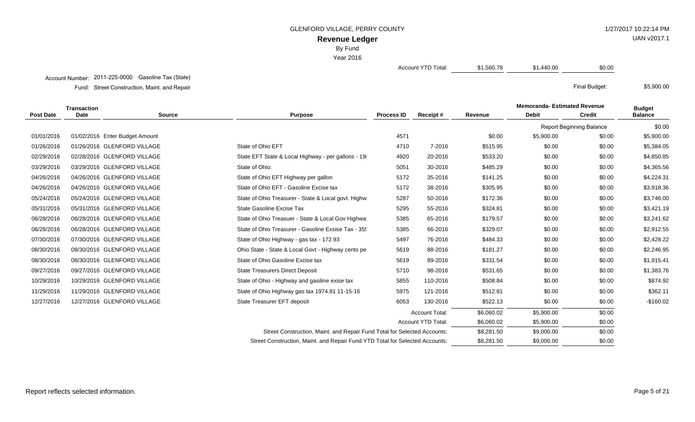GLENFORD VILLAGE, PERRY COUNTY **1/27/2017 10:22:14 PM** 

UAN v2017.1

\$5,900.00

**Revenue Ledger**

By Fund

Year 2016

Account YTD Total: \$1,560.78 \$1,440.00 \$0.00

## Account Number: 2011-225-0000 Gasoline Tax (State)

Street Construction, Maint. and Repair Final Budget: Fund:

|                  | <b>Transaction</b> |                                |                                                                              |                   |                       |            | <b>Memoranda- Estimated Revenue</b> |                                 | <b>Budget</b>  |
|------------------|--------------------|--------------------------------|------------------------------------------------------------------------------|-------------------|-----------------------|------------|-------------------------------------|---------------------------------|----------------|
| <b>Post Date</b> | Date               | <b>Source</b>                  | <b>Purpose</b>                                                               | <b>Process ID</b> | Receipt#              | Revenue    | <b>Debit</b>                        | <b>Credit</b>                   | <b>Balance</b> |
|                  |                    |                                |                                                                              |                   |                       |            |                                     | <b>Report Beginning Balance</b> | \$0.00         |
| 01/01/2016       |                    | 01/02/2016 Enter Budget Amount |                                                                              | 4571              |                       | \$0.00     | \$5,900.00                          | \$0.00                          | \$5,900.00     |
| 01/26/2016       |                    | 01/26/2016 GLENFORD VILLAGE    | State of Ohio EFT                                                            | 4710              | 7-2016                | \$515.95   | \$0.00                              | \$0.00                          | \$5,384.05     |
| 02/29/2016       |                    | 02/28/2016 GLENFORD VILLAGE    | State EFT State & Local Highway - per gallons - 19                           | 4920              | 20-2016               | \$533.20   | \$0.00                              | \$0.00                          | \$4,850.85     |
| 03/29/2016       |                    | 03/29/2016 GLENFORD VILLAGE    | State of Ohio:                                                               | 5051              | 30-2016               | \$485.29   | \$0.00                              | \$0.00                          | \$4,365.56     |
| 04/26/2016       |                    | 04/26/2016 GLENFORD VILLAGE    | State of Ohio EFT Highway per gallon                                         | 5172              | 35-2016               | \$141.25   | \$0.00                              | \$0.00                          | \$4,224.31     |
| 04/26/2016       |                    | 04/26/2016 GLENFORD VILLAGE    | State of Ohio EFT - Gasoline Excise tax                                      | 5172              | 38-2016               | \$305.95   | \$0.00                              | \$0.00                          | \$3,918.36     |
| 05/24/2016       |                    | 05/24/2016 GLENFORD VILLAGE    | State of Ohio Treasurer - State & Local govt. Highw                          | 5287              | 50-2016               | \$172.36   | \$0.00                              | \$0.00                          | \$3,746.00     |
| 05/31/2016       |                    | 05/31/2016 GLENFORD VILLAGE    | State Gasoline Excise Tax                                                    | 5295              | 55-2016               | \$324.81   | \$0.00                              | \$0.00                          | \$3,421.19     |
| 06/28/2016       |                    | 06/28/2016 GLENFORD VILLAGE    | State of Ohio Treasuer - State & Local Gov Highwa                            | 5385              | 65-2016               | \$179.57   | \$0.00                              | \$0.00                          | \$3,241.62     |
| 06/28/2016       |                    | 06/28/2016 GLENFORD VILLAGE    | State of Ohio Treasurer - Gasoline Exsise Tax - 35                           | 5385              | 66-2016               | \$329.07   | \$0.00                              | \$0.00                          | \$2,912.55     |
| 07/30/2016       |                    | 07/30/2016 GLENFORD VILLAGE    | State of Ohio Highway - gas tax - 172.93                                     | 5497              | 76-2016               | \$484.33   | \$0.00                              | \$0.00                          | \$2,428.22     |
| 08/30/2016       |                    | 08/30/2016 GLENFORD VILLAGE    | Ohio State - State & Local Govt - Highway cents pe                           | 5619              | 88-2016               | \$181.27   | \$0.00                              | \$0.00                          | \$2,246.95     |
| 08/30/2016       |                    | 08/30/2016 GLENFORD VILLAGE    | State of Ohio Gasoline Excise tax                                            | 5619              | 89-2016               | \$331.54   | \$0.00                              | \$0.00                          | \$1,915.41     |
| 09/27/2016       |                    | 09/27/2016 GLENFORD VILLAGE    | <b>State Treasurers Direct Deposit</b>                                       | 5710              | 98-2016               | \$531.65   | \$0.00                              | \$0.00                          | \$1,383.76     |
| 10/29/2016       |                    | 10/29/2016 GLENFORD VILLAGE    | State of Ohio - Highway and gasiline exise tax                               | 5855              | 110-2016              | \$508.84   | \$0.00                              | \$0.00                          | \$874.92       |
| 11/29/2016       |                    | 11/29/2016 GLENFORD VILLAGE    | State of Ohio Highway gas tax 1974.81 11-15-16                               | 5975              | 121-2016              | \$512.81   | \$0.00                              | \$0.00                          | \$362.11       |
| 12/27/2016       |                    | 12/27/2016 GLENFORD VILLAGE    | State Treasurer EFT deposit                                                  | 6053              | 130-2016              | \$522.13   | \$0.00                              | \$0.00                          | $-$160.02$     |
|                  |                    |                                |                                                                              |                   | <b>Account Total:</b> | \$6,060.02 | \$5,900.00                          | \$0.00                          |                |
|                  |                    |                                |                                                                              |                   | Account YTD Total:    | \$6,060.02 | \$5,900.00                          | \$0.00                          |                |
|                  |                    |                                | Street Construction, Maint. and Repair Fund Total for Selected Accounts:     |                   |                       | \$8,281.50 | \$9,000.00                          | \$0.00                          |                |
|                  |                    |                                | Street Construction, Maint. and Repair Fund YTD Total for Selected Accounts: |                   |                       | \$8,281.50 | \$9,000.00                          | \$0.00                          |                |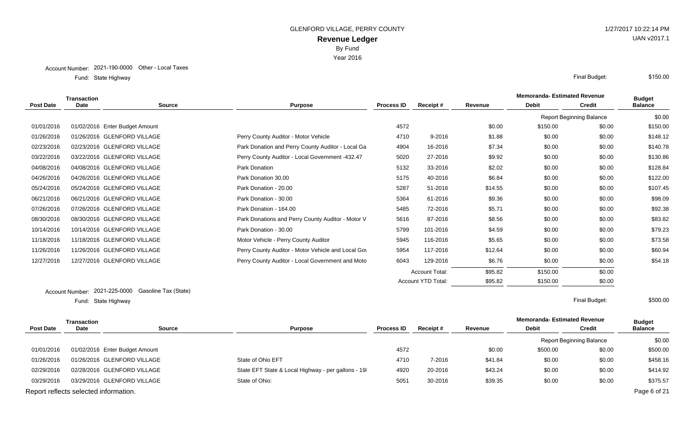Year 2016

State Highway Final Budget: Fund: State Highway

|            | <b>Transaction</b>             |                      |                                                    |                   |                       |         | <b>Memoranda- Estimated Revenue</b> |                                 | <b>Budget</b>  |
|------------|--------------------------------|----------------------|----------------------------------------------------|-------------------|-----------------------|---------|-------------------------------------|---------------------------------|----------------|
| Post Date  | Date                           | <b>Source</b>        | <b>Purpose</b>                                     | <b>Process ID</b> | Receipt#              | Revenue | <b>Debit</b>                        | <b>Credit</b>                   | <b>Balance</b> |
|            |                                |                      |                                                    |                   |                       |         |                                     | <b>Report Beginning Balance</b> | \$0.00         |
| 01/01/2016 | 01/02/2016 Enter Budget Amount |                      |                                                    | 4572              |                       | \$0.00  | \$150.00                            | \$0.00                          | \$150.00       |
| 01/26/2016 | 01/26/2016 GLENFORD VILLAGE    |                      | Perry County Auditor - Motor Vehicle               | 4710              | 9-2016                | \$1.88  | \$0.00                              | \$0.00                          | \$148.12       |
| 02/23/2016 | 02/23/2016 GLENFORD VILLAGE    |                      | Park Donation and Perry County Auditor - Local Ga  | 4904              | 16-2016               | \$7.34  | \$0.00                              | \$0.00                          | \$140.78       |
| 03/22/2016 | 03/22/2016 GLENFORD VILLAGE    |                      | Perry County Auditor - Local Government -432.47    | 5020              | 27-2016               | \$9.92  | \$0.00                              | \$0.00                          | \$130.86       |
| 04/08/2016 | 04/08/2016 GLENFORD VILLAGE    |                      | Park Donation                                      | 5132              | 33-2016               | \$2.02  | \$0.00                              | \$0.00                          | \$128.84       |
| 04/26/2016 | 04/26/2016 GLENFORD VILLAGE    |                      | Park Donation 30.00                                | 5175              | 40-2016               | \$6.84  | \$0.00                              | \$0.00                          | \$122.00       |
| 05/24/2016 | 05/24/2016 GLENFORD VILLAGE    |                      | Park Donation - 20.00                              | 5287              | 51-2016               | \$14.55 | \$0.00                              | \$0.00                          | \$107.45       |
| 06/21/2016 | 06/21/2016 GLENFORD VILLAGE    |                      | Park Donation - 30.00                              | 5364              | 61-2016               | \$9.36  | \$0.00                              | \$0.00                          | \$98.09        |
| 07/26/2016 | 07/26/2016 GLENFORD VILLAGE    |                      | Park Donation - 164.00                             | 5485              | 72-2016               | \$5.71  | \$0.00                              | \$0.00                          | \$92.38        |
| 08/30/2016 | 08/30/2016 GLENFORD VILLAGE    |                      | Park Donations and Perry County Auditor - Motor V  | 5616              | 87-2016               | \$8.56  | \$0.00                              | \$0.00                          | \$83.82        |
| 10/14/2016 | 10/14/2016 GLENFORD VILLAGE    |                      | Park Donation - 30.00                              | 5799              | 101-2016              | \$4.59  | \$0.00                              | \$0.00                          | \$79.23        |
| 11/18/2016 | 11/18/2016 GLENFORD VILLAGE    |                      | Motor Vehicle - Perry County Auditor               | 5945              | 116-2016              | \$5.65  | \$0.00                              | \$0.00                          | \$73.58        |
| 11/26/2016 | 11/26/2016 GLENFORD VILLAGE    |                      | Perry County Auditor - Motor Vehicle and Local Gov | 5954              | 117-2016              | \$12.64 | \$0.00                              | \$0.00                          | \$60.94        |
| 12/27/2016 | 12/27/2016 GLENFORD VILLAGE    |                      | Perry County Auditor - Local Government and Moto   | 6043              | 129-2016              | \$6.76  | \$0.00                              | \$0.00                          | \$54.18        |
|            |                                |                      |                                                    |                   | <b>Account Total:</b> | \$95.82 | \$150.00                            | \$0.00                          |                |
|            |                                |                      |                                                    |                   | Account YTD Total:    | \$95.82 | \$150.00                            | \$0.00                          |                |
|            | Account Number: 2021-225-0000  | Gasoline Tax (State) |                                                    |                   |                       |         |                                     |                                 |                |

State Highway Final Budget: Fund: State Highway

\$500.00

| Transaction |                                       |               |                                                    |                   |          |         | <b>Memoranda- Estimated Revenue</b> |                                 | <b>Budget</b>  |
|-------------|---------------------------------------|---------------|----------------------------------------------------|-------------------|----------|---------|-------------------------------------|---------------------------------|----------------|
| Post Date   | Date                                  | <b>Source</b> | <b>Purpose</b>                                     | <b>Process ID</b> | Receipt# | Revenue | <b>Debit</b>                        | <b>Credit</b>                   | <b>Balance</b> |
|             |                                       |               |                                                    |                   |          |         |                                     | <b>Report Beginning Balance</b> | \$0.00         |
| 01/01/2016  | 01/02/2016 Enter Budget Amount        |               |                                                    | 4572              |          | \$0.00  | \$500.00                            | \$0.00                          | \$500.00       |
| 01/26/2016  | 01/26/2016 GLENFORD VILLAGE           |               | State of Ohio EFT                                  | 4710              | 7-2016   | \$41.84 | \$0.00                              | \$0.00                          | \$458.16       |
| 02/29/2016  | 02/28/2016 GLENFORD VILLAGE           |               | State EFT State & Local Highway - per gallons - 19 | 4920              | 20-2016  | \$43.24 | \$0.00                              | \$0.00                          | \$414.92       |
| 03/29/2016  | 03/29/2016 GLENFORD VILLAGE           |               | State of Ohio:                                     | 5051              | 30-2016  | \$39.35 | \$0.00                              | \$0.00                          | \$375.57       |
|             | Report reflects selected information. |               |                                                    |                   |          |         |                                     |                                 | Page 6 of 21   |

UAN v2017.1

\$150.00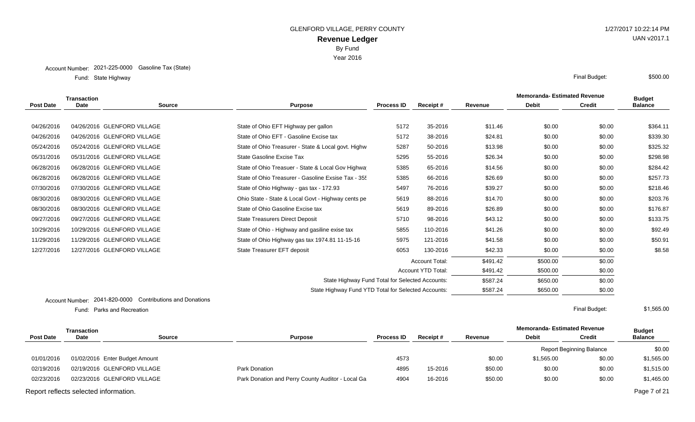Year 2016

State Highway Final Budget: Fund: State Highway

|                  | <b>Transaction</b>     |                                                     |                                                     |                   |                           | <b>Memoranda- Estimated Revenue</b> | <b>Budget</b> |               |                |
|------------------|------------------------|-----------------------------------------------------|-----------------------------------------------------|-------------------|---------------------------|-------------------------------------|---------------|---------------|----------------|
| <b>Post Date</b> | Date                   | <b>Source</b>                                       | <b>Purpose</b>                                      | <b>Process ID</b> | Receipt#                  | Revenue                             | <b>Debit</b>  | <b>Credit</b> | <b>Balance</b> |
|                  |                        |                                                     |                                                     |                   |                           |                                     |               |               |                |
| 04/26/2016       |                        | 04/26/2016 GLENFORD VILLAGE                         | State of Ohio EFT Highway per gallon                | 5172              | 35-2016                   | \$11.46                             | \$0.00        | \$0.00        | \$364.11       |
| 04/26/2016       |                        | 04/26/2016 GLENFORD VILLAGE                         | State of Ohio EFT - Gasoline Excise tax             | 5172              | 38-2016                   | \$24.81                             | \$0.00        | \$0.00        | \$339.30       |
| 05/24/2016       |                        | 05/24/2016 GLENFORD VILLAGE                         | State of Ohio Treasurer - State & Local govt. Highw | 5287              | 50-2016                   | \$13.98                             | \$0.00        | \$0.00        | \$325.32       |
| 05/31/2016       |                        | 05/31/2016 GLENFORD VILLAGE                         | State Gasoline Excise Tax                           | 5295              | 55-2016                   | \$26.34                             | \$0.00        | \$0.00        | \$298.98       |
| 06/28/2016       |                        | 06/28/2016 GLENFORD VILLAGE                         | State of Ohio Treasuer - State & Local Gov Highwa   | 5385              | 65-2016                   | \$14.56                             | \$0.00        | \$0.00        | \$284.42       |
| 06/28/2016       |                        | 06/28/2016 GLENFORD VILLAGE                         | State of Ohio Treasurer - Gasoline Exsise Tax - 35. | 5385              | 66-2016                   | \$26.69                             | \$0.00        | \$0.00        | \$257.73       |
| 07/30/2016       |                        | 07/30/2016 GLENFORD VILLAGE                         | State of Ohio Highway - gas tax - 172.93            | 5497              | 76-2016                   | \$39.27                             | \$0.00        | \$0.00        | \$218.46       |
| 08/30/2016       |                        | 08/30/2016 GLENFORD VILLAGE                         | Ohio State - State & Local Govt - Highway cents pe  | 5619              | 88-2016                   | \$14.70                             | \$0.00        | \$0.00        | \$203.76       |
| 08/30/2016       |                        | 08/30/2016 GLENFORD VILLAGE                         | State of Ohio Gasoline Excise tax                   | 5619              | 89-2016                   | \$26.89                             | \$0.00        | \$0.00        | \$176.87       |
| 09/27/2016       |                        | 09/27/2016 GLENFORD VILLAGE                         | <b>State Treasurers Direct Deposit</b>              | 5710              | 98-2016                   | \$43.12                             | \$0.00        | \$0.00        | \$133.75       |
| 10/29/2016       |                        | 10/29/2016 GLENFORD VILLAGE                         | State of Ohio - Highway and gasiline exise tax      | 5855              | 110-2016                  | \$41.26                             | \$0.00        | \$0.00        | \$92.49        |
| 11/29/2016       |                        | 11/29/2016 GLENFORD VILLAGE                         | State of Ohio Highway gas tax 1974.81 11-15-16      | 5975              | 121-2016                  | \$41.58                             | \$0.00        | \$0.00        | \$50.91        |
| 12/27/2016       |                        | 12/27/2016 GLENFORD VILLAGE                         | State Treasurer EFT deposit                         | 6053              | 130-2016                  | \$42.33                             | \$0.00        | \$0.00        | \$8.58         |
|                  |                        |                                                     |                                                     |                   | <b>Account Total:</b>     | \$491.42                            | \$500.00      | \$0.00        |                |
|                  |                        |                                                     |                                                     |                   | <b>Account YTD Total:</b> | \$491.42                            | \$500.00      | \$0.00        |                |
|                  |                        |                                                     | State Highway Fund Total for Selected Accounts:     |                   |                           | \$587.24                            | \$650.00      | \$0.00        |                |
|                  |                        |                                                     | State Highway Fund YTD Total for Selected Accounts: |                   |                           | \$587.24                            | \$650.00      | \$0.00        |                |
|                  | <b>Account Number:</b> | 2041-820-0000<br><b>Contributions and Donations</b> |                                                     |                   |                           |                                     |               |               |                |

Parks and Recreation Final Budget: Fund:

\$1,565.00

|                                       | Transaction |                                |                                                   |                   |                 |         | <b>Memoranda- Estimated Revenue</b> |                                 | <b>Budget</b>  |
|---------------------------------------|-------------|--------------------------------|---------------------------------------------------|-------------------|-----------------|---------|-------------------------------------|---------------------------------|----------------|
| <b>Post Date</b>                      | <b>Date</b> | <b>Source</b>                  | <b>Purpose</b>                                    | <b>Process ID</b> | <b>Receipt#</b> | Revenue | <b>Debit</b>                        | Credit                          | <b>Balance</b> |
|                                       |             |                                |                                                   |                   |                 |         |                                     | <b>Report Beginning Balance</b> | \$0.00         |
| 01/01/2016                            |             | 01/02/2016 Enter Budget Amount |                                                   | 4573              |                 | \$0.00  | \$1,565.00                          | \$0.00                          | \$1,565.00     |
| 02/19/2016                            |             | 02/19/2016 GLENFORD VILLAGE    | Park Donation                                     | 4895              | 15-2016         | \$50.00 | \$0.00                              | \$0.00                          | \$1,515.00     |
| 02/23/2016                            |             | 02/23/2016 GLENFORD VILLAGE    | Park Donation and Perry County Auditor - Local Ga | 4904              | 16-2016         | \$50.00 | \$0.00                              | \$0.00                          | \$1,465.00     |
| Report reflects selected information. |             |                                |                                                   |                   |                 |         |                                     |                                 | Page 7 of 21   |

# UAN v2017.1

\$500.00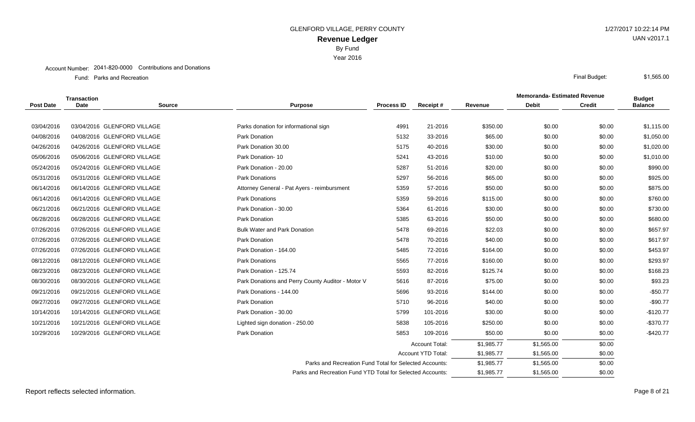Year 2016

#### Account Number: 2041-820-0000 Contributions and Donations

Parks and Recreation Final Budget: Fund: Parks and Recreation

|                  | Transaction |                             |                                                   |                                                            |                       | <b>Memoranda- Estimated Revenue</b> |              | <b>Budget</b> |                |
|------------------|-------------|-----------------------------|---------------------------------------------------|------------------------------------------------------------|-----------------------|-------------------------------------|--------------|---------------|----------------|
| <b>Post Date</b> | <b>Date</b> | <b>Source</b>               | <b>Purpose</b>                                    | <b>Process ID</b>                                          | Receipt#              | Revenue                             | <b>Debit</b> | <b>Credit</b> | <b>Balance</b> |
|                  |             |                             |                                                   |                                                            |                       |                                     |              |               |                |
| 03/04/2016       |             | 03/04/2016 GLENFORD VILLAGE | Parks donation for informational sign             | 4991                                                       | 21-2016               | \$350.00                            | \$0.00       | \$0.00        | \$1,115.00     |
| 04/08/2016       |             | 04/08/2016 GLENFORD VILLAGE | Park Donation                                     | 5132                                                       | 33-2016               | \$65.00                             | \$0.00       | \$0.00        | \$1,050.00     |
| 04/26/2016       |             | 04/26/2016 GLENFORD VILLAGE | Park Donation 30.00                               | 5175                                                       | 40-2016               | \$30.00                             | \$0.00       | \$0.00        | \$1,020.00     |
| 05/06/2016       |             | 05/06/2016 GLENFORD VILLAGE | Park Donation-10                                  | 5241                                                       | 43-2016               | \$10.00                             | \$0.00       | \$0.00        | \$1,010.00     |
| 05/24/2016       |             | 05/24/2016 GLENFORD VILLAGE | Park Donation - 20.00                             | 5287                                                       | 51-2016               | \$20.00                             | \$0.00       | \$0.00        | \$990.00       |
| 05/31/2016       |             | 05/31/2016 GLENFORD VILLAGE | <b>Park Donations</b>                             | 5297                                                       | 56-2016               | \$65.00                             | \$0.00       | \$0.00        | \$925.00       |
| 06/14/2016       |             | 06/14/2016 GLENFORD VILLAGE | Attorney General - Pat Ayers - reimbursment       | 5359                                                       | 57-2016               | \$50.00                             | \$0.00       | \$0.00        | \$875.00       |
| 06/14/2016       |             | 06/14/2016 GLENFORD VILLAGE | <b>Park Donations</b>                             | 5359                                                       | 59-2016               | \$115.00                            | \$0.00       | \$0.00        | \$760.00       |
| 06/21/2016       |             | 06/21/2016 GLENFORD VILLAGE | Park Donation - 30.00                             | 5364                                                       | 61-2016               | \$30.00                             | \$0.00       | \$0.00        | \$730.00       |
| 06/28/2016       |             | 06/28/2016 GLENFORD VILLAGE | Park Donation                                     | 5385                                                       | 63-2016               | \$50.00                             | \$0.00       | \$0.00        | \$680.00       |
| 07/26/2016       |             | 07/26/2016 GLENFORD VILLAGE | <b>Bulk Water and Park Donation</b>               | 5478                                                       | 69-2016               | \$22.03                             | \$0.00       | \$0.00        | \$657.97       |
| 07/26/2016       |             | 07/26/2016 GLENFORD VILLAGE | Park Donation                                     | 5478                                                       | 70-2016               | \$40.00                             | \$0.00       | \$0.00        | \$617.97       |
| 07/26/2016       |             | 07/26/2016 GLENFORD VILLAGE | Park Donation - 164.00                            | 5485                                                       | 72-2016               | \$164.00                            | \$0.00       | \$0.00        | \$453.97       |
| 08/12/2016       |             | 08/12/2016 GLENFORD VILLAGE | <b>Park Donations</b>                             | 5565                                                       | 77-2016               | \$160.00                            | \$0.00       | \$0.00        | \$293.97       |
| 08/23/2016       |             | 08/23/2016 GLENFORD VILLAGE | Park Donation - 125.74                            | 5593                                                       | 82-2016               | \$125.74                            | \$0.00       | \$0.00        | \$168.23       |
| 08/30/2016       |             | 08/30/2016 GLENFORD VILLAGE | Park Donations and Perry County Auditor - Motor V | 5616                                                       | 87-2016               | \$75.00                             | \$0.00       | \$0.00        | \$93.23        |
| 09/21/2016       |             | 09/21/2016 GLENFORD VILLAGE | Park Donations - 144.00                           | 5696                                                       | 93-2016               | \$144.00                            | \$0.00       | \$0.00        | $-$50.77$      |
| 09/27/2016       |             | 09/27/2016 GLENFORD VILLAGE | <b>Park Donation</b>                              | 5710                                                       | 96-2016               | \$40.00                             | \$0.00       | \$0.00        | $-$90.77$      |
| 10/14/2016       |             | 10/14/2016 GLENFORD VILLAGE | Park Donation - 30.00                             | 5799                                                       | 101-2016              | \$30.00                             | \$0.00       | \$0.00        | $-$120.77$     |
| 10/21/2016       |             | 10/21/2016 GLENFORD VILLAGE | Lighted sign donation - 250.00                    | 5838                                                       | 105-2016              | \$250.00                            | \$0.00       | \$0.00        | $-$370.77$     |
| 10/29/2016       |             | 10/29/2016 GLENFORD VILLAGE | Park Donation                                     | 5853                                                       | 109-2016              | \$50.00                             | \$0.00       | \$0.00        | $-$420.77$     |
|                  |             |                             |                                                   |                                                            | <b>Account Total:</b> | \$1,985.77                          | \$1,565.00   | \$0.00        |                |
|                  |             |                             |                                                   |                                                            | Account YTD Total:    | \$1,985.77                          | \$1,565.00   | \$0.00        |                |
|                  |             |                             |                                                   | Parks and Recreation Fund Total for Selected Accounts:     |                       | \$1,985.77                          | \$1,565.00   | \$0.00        |                |
|                  |             |                             |                                                   | Parks and Recreation Fund YTD Total for Selected Accounts: |                       |                                     | \$1,565.00   | \$0.00        |                |

\$1,565.00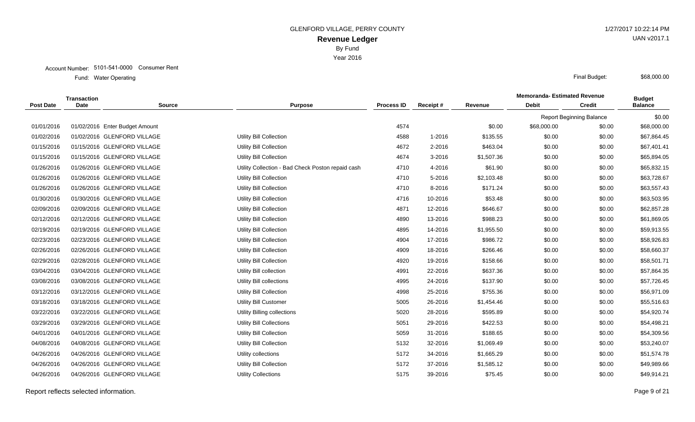Account Number: 5101-541-0000 Consumer Rent

Water Operating Final Budget: Fund: Water Operating

|                  | <b>Transaction</b> |                                |                                                   |                   |          | <b>Memoranda-Estimated Revenue</b> | <b>Budget</b> |                                 |                |
|------------------|--------------------|--------------------------------|---------------------------------------------------|-------------------|----------|------------------------------------|---------------|---------------------------------|----------------|
| <b>Post Date</b> | <b>Date</b>        | <b>Source</b>                  | <b>Purpose</b>                                    | <b>Process ID</b> | Receipt# | Revenue                            | <b>Debit</b>  | <b>Credit</b>                   | <b>Balance</b> |
|                  |                    |                                |                                                   |                   |          |                                    |               | <b>Report Beginning Balance</b> | \$0.00         |
| 01/01/2016       |                    | 01/02/2016 Enter Budget Amount |                                                   | 4574              |          | \$0.00                             | \$68,000.00   | \$0.00                          | \$68,000.00    |
| 01/02/2016       |                    | 01/02/2016 GLENFORD VILLAGE    | Utility Bill Collection                           | 4588              | 1-2016   | \$135.55                           | \$0.00        | \$0.00                          | \$67,864.45    |
| 01/15/2016       |                    | 01/15/2016 GLENFORD VILLAGE    | <b>Utility Bill Collection</b>                    | 4672              | 2-2016   | \$463.04                           | \$0.00        | \$0.00                          | \$67,401.41    |
| 01/15/2016       |                    | 01/15/2016 GLENFORD VILLAGE    | Utility Bill Collection                           | 4674              | 3-2016   | \$1,507.36                         | \$0.00        | \$0.00                          | \$65,894.05    |
| 01/26/2016       |                    | 01/26/2016 GLENFORD VILLAGE    | Utility Collection - Bad Check Poston repaid cash | 4710              | 4-2016   | \$61.90                            | \$0.00        | \$0.00                          | \$65,832.15    |
| 01/26/2016       |                    | 01/26/2016 GLENFORD VILLAGE    | Utility Bill Collection                           | 4710              | 5-2016   | \$2,103.48                         | \$0.00        | \$0.00                          | \$63,728.67    |
| 01/26/2016       |                    | 01/26/2016 GLENFORD VILLAGE    | Utility Bill Collection                           | 4710              | 8-2016   | \$171.24                           | \$0.00        | \$0.00                          | \$63,557.43    |
| 01/30/2016       |                    | 01/30/2016 GLENFORD VILLAGE    | <b>Utility Bill Collection</b>                    | 4716              | 10-2016  | \$53.48                            | \$0.00        | \$0.00                          | \$63,503.95    |
| 02/09/2016       |                    | 02/09/2016 GLENFORD VILLAGE    | <b>Utility Bill Collection</b>                    | 4871              | 12-2016  | \$646.67                           | \$0.00        | \$0.00                          | \$62,857.28    |
| 02/12/2016       |                    | 02/12/2016 GLENFORD VILLAGE    | <b>Utility Bill Collection</b>                    | 4890              | 13-2016  | \$988.23                           | \$0.00        | \$0.00                          | \$61,869.05    |
| 02/19/2016       |                    | 02/19/2016 GLENFORD VILLAGE    | <b>Utility Bill Collection</b>                    | 4895              | 14-2016  | \$1,955.50                         | \$0.00        | \$0.00                          | \$59,913.55    |
| 02/23/2016       |                    | 02/23/2016 GLENFORD VILLAGE    | <b>Utility Bill Collection</b>                    | 4904              | 17-2016  | \$986.72                           | \$0.00        | \$0.00                          | \$58,926.83    |
| 02/26/2016       |                    | 02/26/2016 GLENFORD VILLAGE    | <b>Utility Bill Collection</b>                    | 4909              | 18-2016  | \$266.46                           | \$0.00        | \$0.00                          | \$58,660.37    |
| 02/29/2016       |                    | 02/28/2016 GLENFORD VILLAGE    | <b>Utility Bill Collection</b>                    | 4920              | 19-2016  | \$158.66                           | \$0.00        | \$0.00                          | \$58,501.71    |
| 03/04/2016       |                    | 03/04/2016 GLENFORD VILLAGE    | Utility Bill collection                           | 4991              | 22-2016  | \$637.36                           | \$0.00        | \$0.00                          | \$57,864.35    |
| 03/08/2016       |                    | 03/08/2016 GLENFORD VILLAGE    | Utility Bill collections                          | 4995              | 24-2016  | \$137.90                           | \$0.00        | \$0.00                          | \$57,726.45    |
| 03/12/2016       |                    | 03/12/2016 GLENFORD VILLAGE    | Utility Bill Collection                           | 4998              | 25-2016  | \$755.36                           | \$0.00        | \$0.00                          | \$56,971.09    |
| 03/18/2016       |                    | 03/18/2016 GLENFORD VILLAGE    | <b>Utility Bill Customer</b>                      | 5005              | 26-2016  | \$1,454.46                         | \$0.00        | \$0.00                          | \$55,516.63    |
| 03/22/2016       |                    | 03/22/2016 GLENFORD VILLAGE    | Utility Billing collections                       | 5020              | 28-2016  | \$595.89                           | \$0.00        | \$0.00                          | \$54,920.74    |
| 03/29/2016       |                    | 03/29/2016 GLENFORD VILLAGE    | <b>Utility Bill Collections</b>                   | 5051              | 29-2016  | \$422.53                           | \$0.00        | \$0.00                          | \$54,498.21    |
| 04/01/2016       |                    | 04/01/2016 GLENFORD VILLAGE    | Utility Bill Collection                           | 5059              | 31-2016  | \$188.65                           | \$0.00        | \$0.00                          | \$54,309.56    |
| 04/08/2016       |                    | 04/08/2016 GLENFORD VILLAGE    | <b>Utility Bill Collection</b>                    | 5132              | 32-2016  | \$1,069.49                         | \$0.00        | \$0.00                          | \$53,240.07    |
| 04/26/2016       |                    | 04/26/2016 GLENFORD VILLAGE    | Utility collections                               | 5172              | 34-2016  | \$1,665.29                         | \$0.00        | \$0.00                          | \$51,574.78    |
| 04/26/2016       |                    | 04/26/2016 GLENFORD VILLAGE    | <b>Utility Bill Collection</b>                    | 5172              | 37-2016  | \$1,585.12                         | \$0.00        | \$0.00                          | \$49,989.66    |
| 04/26/2016       |                    | 04/26/2016 GLENFORD VILLAGE    | <b>Utility Collections</b>                        | 5175              | 39-2016  | \$75.45                            | \$0.00        | \$0.00                          | \$49,914.21    |
|                  |                    |                                |                                                   |                   |          |                                    |               |                                 |                |

Report reflects selected information. Page 9 of 21

UAN v2017.1

\$68,000.00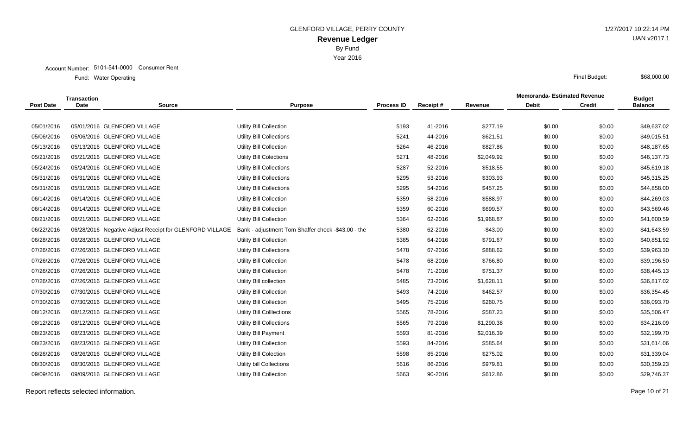Year 2016

|                  | <b>Transaction</b> |                                                         |                                                    |                   |          |            | <b>Memoranda- Estimated Revenue</b> |               | <b>Budget</b>  |
|------------------|--------------------|---------------------------------------------------------|----------------------------------------------------|-------------------|----------|------------|-------------------------------------|---------------|----------------|
| <b>Post Date</b> | <b>Date</b>        | <b>Source</b>                                           | <b>Purpose</b>                                     | <b>Process ID</b> | Receipt# | Revenue    | <b>Debit</b>                        | <b>Credit</b> | <b>Balance</b> |
|                  |                    |                                                         |                                                    |                   |          |            |                                     |               |                |
| 05/01/2016       |                    | 05/01/2016 GLENFORD VILLAGE                             | <b>Utility Bill Collection</b>                     | 5193              | 41-2016  | \$277.19   | \$0.00                              | \$0.00        | \$49,637.02    |
| 05/06/2016       |                    | 05/06/2016 GLENFORD VILLAGE                             | Utility Bill Collections                           | 5241              | 44-2016  | \$621.51   | \$0.00                              | \$0.00        | \$49,015.51    |
| 05/13/2016       |                    | 05/13/2016 GLENFORD VILLAGE                             | <b>Utility Bill Collection</b>                     | 5264              | 46-2016  | \$827.86   | \$0.00                              | \$0.00        | \$48,187.65    |
| 05/21/2016       |                    | 05/21/2016 GLENFORD VILLAGE                             | Utility Bill Colections                            | 5271              | 48-2016  | \$2,049.92 | \$0.00                              | \$0.00        | \$46,137.73    |
| 05/24/2016       |                    | 05/24/2016 GLENFORD VILLAGE                             | Utility Bill Collections                           | 5287              | 52-2016  | \$518.55   | \$0.00                              | \$0.00        | \$45,619.18    |
| 05/31/2016       |                    | 05/31/2016 GLENFORD VILLAGE                             | <b>Utility Bill Collections</b>                    | 5295              | 53-2016  | \$303.93   | \$0.00                              | \$0.00        | \$45,315.25    |
| 05/31/2016       |                    | 05/31/2016 GLENFORD VILLAGE                             | <b>Utility Bill Collections</b>                    | 5295              | 54-2016  | \$457.25   | \$0.00                              | \$0.00        | \$44,858.00    |
| 06/14/2016       |                    | 06/14/2016 GLENFORD VILLAGE                             | <b>Utility Bill Collection</b>                     | 5359              | 58-2016  | \$588.97   | \$0.00                              | \$0.00        | \$44,269.03    |
| 06/14/2016       |                    | 06/14/2016 GLENFORD VILLAGE                             | Utility Bill Collection                            | 5359              | 60-2016  | \$699.57   | \$0.00                              | \$0.00        | \$43,569.46    |
| 06/21/2016       |                    | 06/21/2016 GLENFORD VILLAGE                             | Utility Bill Collection                            | 5364              | 62-2016  | \$1,968.87 | \$0.00                              | \$0.00        | \$41,600.59    |
| 06/22/2016       |                    | 06/28/2016 Negative Adjust Receipt for GLENFORD VILLAGE | Bank - adjustment Tom Shaffer check -\$43.00 - the | 5380              | 62-2016  | $-$43.00$  | \$0.00                              | \$0.00        | \$41,643.59    |
| 06/28/2016       |                    | 06/28/2016 GLENFORD VILLAGE                             | Utility Bill Collection                            | 5385              | 64-2016  | \$791.67   | \$0.00                              | \$0.00        | \$40,851.92    |
| 07/26/2016       |                    | 07/26/2016 GLENFORD VILLAGE                             | Utility Bill Collections                           | 5478              | 67-2016  | \$888.62   | \$0.00                              | \$0.00        | \$39,963.30    |
| 07/26/2016       |                    | 07/26/2016 GLENFORD VILLAGE                             | Utility Bill Collection                            | 5478              | 68-2016  | \$766.80   | \$0.00                              | \$0.00        | \$39,196.50    |
| 07/26/2016       |                    | 07/26/2016 GLENFORD VILLAGE                             | Utility Bill Collection                            | 5478              | 71-2016  | \$751.37   | \$0.00                              | \$0.00        | \$38,445.13    |
| 07/26/2016       |                    | 07/26/2016 GLENFORD VILLAGE                             | Utility Bill collection                            | 5485              | 73-2016  | \$1,628.11 | \$0.00                              | \$0.00        | \$36,817.02    |
| 07/30/2016       |                    | 07/30/2016 GLENFORD VILLAGE                             | <b>Utility Bill Collection</b>                     | 5493              | 74-2016  | \$462.57   | \$0.00                              | \$0.00        | \$36,354.45    |
| 07/30/2016       |                    | 07/30/2016 GLENFORD VILLAGE                             | Utility Bill Collection                            | 5495              | 75-2016  | \$260.75   | \$0.00                              | \$0.00        | \$36,093.70    |
| 08/12/2016       |                    | 08/12/2016 GLENFORD VILLAGE                             | Utility Bill Colllections                          | 5565              | 78-2016  | \$587.23   | \$0.00                              | \$0.00        | \$35,506.47    |
| 08/12/2016       |                    | 08/12/2016 GLENFORD VILLAGE                             | <b>Utility Bill Collections</b>                    | 5565              | 79-2016  | \$1,290.38 | \$0.00                              | \$0.00        | \$34,216.09    |
| 08/23/2016       |                    | 08/23/2016 GLENFORD VILLAGE                             | <b>Utility Bill Payment</b>                        | 5593              | 81-2016  | \$2,016.39 | \$0.00                              | \$0.00        | \$32,199.70    |
| 08/23/2016       |                    | 08/23/2016 GLENFORD VILLAGE                             | Utility Bill Collection                            | 5593              | 84-2016  | \$585.64   | \$0.00                              | \$0.00        | \$31,614.06    |
| 08/26/2016       |                    | 08/26/2016 GLENFORD VILLAGE                             | <b>Utility Bill Colection</b>                      | 5598              | 85-2016  | \$275.02   | \$0.00                              | \$0.00        | \$31,339.04    |
| 08/30/2016       |                    | 08/30/2016 GLENFORD VILLAGE                             | Utility bill Collections                           | 5616              | 86-2016  | \$979.81   | \$0.00                              | \$0.00        | \$30,359.23    |
| 09/09/2016       |                    | 09/09/2016 GLENFORD VILLAGE                             | <b>Utility Bill Collection</b>                     | 5663              | 90-2016  | \$612.86   | \$0.00                              | \$0.00        | \$29,746.37    |
|                  |                    |                                                         |                                                    |                   |          |            |                                     |               |                |

Report reflects selected information. Page 10 of 21

UAN v2017.1

\$68,000.00

Water Operating Final Budget: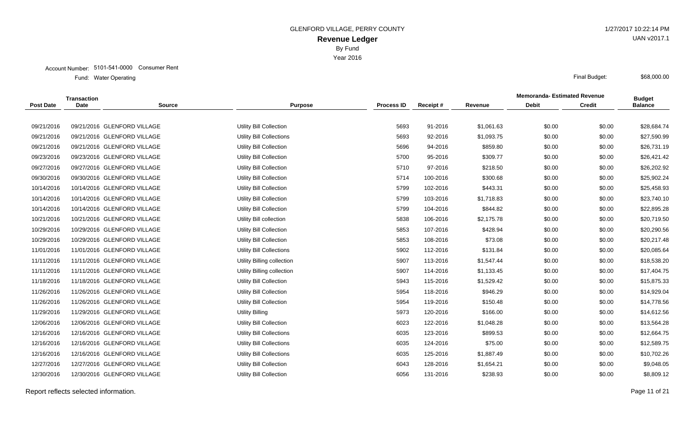Year 2016

|                  | Transaction |                             |                                 |                   |          |            | <b>Memoranda-Estimated Revenue</b> |               | <b>Budget</b>  |
|------------------|-------------|-----------------------------|---------------------------------|-------------------|----------|------------|------------------------------------|---------------|----------------|
| <b>Post Date</b> | <b>Date</b> | <b>Source</b>               | <b>Purpose</b>                  | <b>Process ID</b> | Receipt# | Revenue    | <b>Debit</b>                       | <b>Credit</b> | <b>Balance</b> |
|                  |             |                             |                                 |                   |          |            |                                    |               |                |
| 09/21/2016       |             | 09/21/2016 GLENFORD VILLAGE | <b>Utility Bill Collection</b>  | 5693              | 91-2016  | \$1,061.63 | \$0.00                             | \$0.00        | \$28,684.74    |
| 09/21/2016       |             | 09/21/2016 GLENFORD VILLAGE | <b>Utility Bill Collections</b> | 5693              | 92-2016  | \$1,093.75 | \$0.00                             | \$0.00        | \$27,590.99    |
| 09/21/2016       |             | 09/21/2016 GLENFORD VILLAGE | <b>Utility Bill Collection</b>  | 5696              | 94-2016  | \$859.80   | \$0.00                             | \$0.00        | \$26,731.19    |
| 09/23/2016       |             | 09/23/2016 GLENFORD VILLAGE | <b>Utility Bill Collection</b>  | 5700              | 95-2016  | \$309.77   | \$0.00                             | \$0.00        | \$26,421.42    |
| 09/27/2016       |             | 09/27/2016 GLENFORD VILLAGE | <b>Utility Bill Collection</b>  | 5710              | 97-2016  | \$218.50   | \$0.00                             | \$0.00        | \$26,202.92    |
| 09/30/2016       |             | 09/30/2016 GLENFORD VILLAGE | <b>Utility Bill Collection</b>  | 5714              | 100-2016 | \$300.68   | \$0.00                             | \$0.00        | \$25,902.24    |
| 10/14/2016       |             | 10/14/2016 GLENFORD VILLAGE | <b>Utility Bill Collection</b>  | 5799              | 102-2016 | \$443.31   | \$0.00                             | \$0.00        | \$25,458.93    |
| 10/14/2016       |             | 10/14/2016 GLENFORD VILLAGE | <b>Utility Bill Collection</b>  | 5799              | 103-2016 | \$1,718.83 | \$0.00                             | \$0.00        | \$23,740.10    |
| 10/14/2016       |             | 10/14/2016 GLENFORD VILLAGE | <b>Utility Bill Collection</b>  | 5799              | 104-2016 | \$844.82   | \$0.00                             | \$0.00        | \$22,895.28    |
| 10/21/2016       |             | 10/21/2016 GLENFORD VILLAGE | Utility Bill collection         | 5838              | 106-2016 | \$2,175.78 | \$0.00                             | \$0.00        | \$20,719.50    |
| 10/29/2016       |             | 10/29/2016 GLENFORD VILLAGE | <b>Utility Bill Collection</b>  | 5853              | 107-2016 | \$428.94   | \$0.00                             | \$0.00        | \$20,290.56    |
| 10/29/2016       |             | 10/29/2016 GLENFORD VILLAGE | <b>Utility Bill Collection</b>  | 5853              | 108-2016 | \$73.08    | \$0.00                             | \$0.00        | \$20,217.48    |
| 11/01/2016       |             | 11/01/2016 GLENFORD VILLAGE | <b>Utility Bill Collections</b> | 5902              | 112-2016 | \$131.84   | \$0.00                             | \$0.00        | \$20,085.64    |
| 11/11/2016       |             | 11/11/2016 GLENFORD VILLAGE | Utility Billing collection      | 5907              | 113-2016 | \$1,547.44 | \$0.00                             | \$0.00        | \$18,538.20    |
| 11/11/2016       |             | 11/11/2016 GLENFORD VILLAGE | Utility Billing collection      | 5907              | 114-2016 | \$1,133.45 | \$0.00                             | \$0.00        | \$17,404.75    |
| 11/18/2016       |             | 11/18/2016 GLENFORD VILLAGE | <b>Utility Bill Collection</b>  | 5943              | 115-2016 | \$1,529.42 | \$0.00                             | \$0.00        | \$15,875.33    |
| 11/26/2016       |             | 11/26/2016 GLENFORD VILLAGE | <b>Utility Bill Collection</b>  | 5954              | 118-2016 | \$946.29   | \$0.00                             | \$0.00        | \$14,929.04    |
| 11/26/2016       |             | 11/26/2016 GLENFORD VILLAGE | <b>Utility Bill Collection</b>  | 5954              | 119-2016 | \$150.48   | \$0.00                             | \$0.00        | \$14,778.56    |
| 11/29/2016       |             | 11/29/2016 GLENFORD VILLAGE | <b>Utility Billing</b>          | 5973              | 120-2016 | \$166.00   | \$0.00                             | \$0.00        | \$14,612.56    |
| 12/06/2016       |             | 12/06/2016 GLENFORD VILLAGE | <b>Utility Bill Collection</b>  | 6023              | 122-2016 | \$1,048.28 | \$0.00                             | \$0.00        | \$13,564.28    |
| 12/16/2016       |             | 12/16/2016 GLENFORD VILLAGE | <b>Utility Bill Collections</b> | 6035              | 123-2016 | \$899.53   | \$0.00                             | \$0.00        | \$12,664.75    |
| 12/16/2016       |             | 12/16/2016 GLENFORD VILLAGE | <b>Utility Bill Collections</b> | 6035              | 124-2016 | \$75.00    | \$0.00                             | \$0.00        | \$12,589.75    |
| 12/16/2016       |             | 12/16/2016 GLENFORD VILLAGE | <b>Utility Bill Collections</b> | 6035              | 125-2016 | \$1,887.49 | \$0.00                             | \$0.00        | \$10,702.26    |
| 12/27/2016       |             | 12/27/2016 GLENFORD VILLAGE | <b>Utility Bill Collection</b>  | 6043              | 128-2016 | \$1,654.21 | \$0.00                             | \$0.00        | \$9,048.05     |
| 12/30/2016       |             | 12/30/2016 GLENFORD VILLAGE | Utility Bill Collection         | 6056              | 131-2016 | \$238.93   | \$0.00                             | \$0.00        | \$8,809.12     |
|                  |             |                             |                                 |                   |          |            |                                    |               |                |

UAN v2017.1

\$68,000.00

Report reflects selected information. Page 11 of 21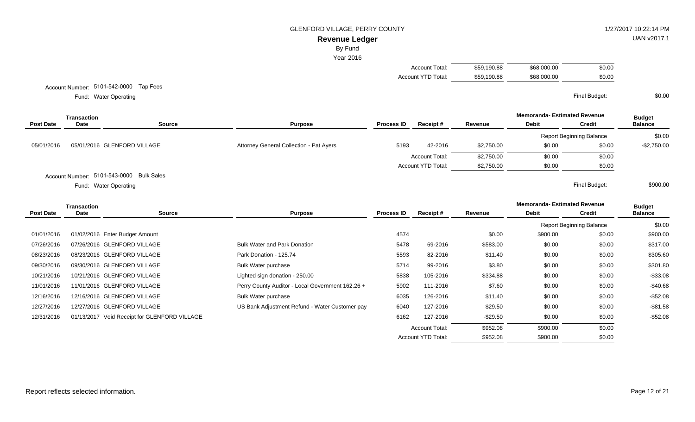#### GLENFORD VILLAGE, PERRY COUNTY **1/27/2017 10:22:14 PM**

# **Revenue Ledger**

By Fund

Year 2016

| Account Total:     | \$59.190.88 | \$68,000,00 | \$0.00 |
|--------------------|-------------|-------------|--------|
| Account YTD Total: | \$59,190.88 | \$68,000,00 | \$0.00 |

Account YTD Total:  $$952.08$  \$900.00 \$0.00

Account Number: 5101-542-0000 Tap Fees

Water Operating Final Budget: Fund: Water Operating

**Memoranda- Estimated Revenue Source Purpose Process ID Receipt # Revenue Debit Transaction Post Date Date Budget Credit Balance** Report Beginning Balance \$0.00 05/01/2016 05/01/2016 GLENFORD VILLAGE **Attorney General Collection - Pat Ayers** 5193 42-2016 \$2,750.00 \$0.00 \$0.00 \$0.00 -\$2,750.00 Account Total: \$2,750.00 \$0.00 \$0.00 \$0.00 Account YTD Total:  $$2,750.00$   $$0.00$   $$0.00$ Account Number: 5101-543-0000 Bulk Sales Water Operating Final Budget: Fund: Water Operating \$900.00

**Memoranda- Estimated Revenue Source Purpose Process ID Receipt # Revenue Debit Transaction Post Date Date Budget Credit Balance** Report Beginning Balance \$0.00 01/01/2016 01/02/2016 Enter Budget Amount 2000 2000 \$900.00 \$900.00 \$900.00 \$900.00 \$900.00 \$900.00 \$900.00 07/26/2016 07/26/2016 GLENFORD VILLAGE Bulk Water and Park Donation 5478 69-2016 \$583.00 \$0.00 \$0.00 \$317.00 08/23/2016 08/23/2016 GLENFORD VILLAGE **Park Donation - 125.74** 5593 82-2016 \$11.40 \$0.00 \$0.00 \$305.60 09/30/2016 09/30/2016 GLENFORD VILLAGE **Bulk Water purchase 6** 199 2016 5714 99-2016 \$3.80 \$0.00 \$0.00 \$301.80 10/21/2016 10/21/2016 GLENFORD VILLAGE Lighted sign donation - 250.00 5838 105-2016 \$334.88 \$0.00 \$0.00 -\$33.08 11/01/2016 11/01/2016 GLENFORD VILLAGE Perry County Auditor - Local Government 162.26 + 358.59 5902 111-2016 \$7.60 \$0.00 \$0.00 -\$40.68 12/16/2016 12/16/2016 GLENFORD VILLAGE **Bulk Water purchase 6035 126-2016** \$11.40 \$0.00 \$0.00 \$0.00 \$52.08 12/27/2016 12/27/2016 GLENFORD VILLAGE **Water Additional Community Refund - Water Customer pay** 6040 127-2016 \$29.50 \$0.00 \$0.00 \$0.00 \$81.58 12/31/2016 01/13/2017 Void Receipt for GLENFORD VILLAGE **6162** 6162 6162 127-2016 -\$29.50 \$0.00 \$0.00 \$0.00 -\$52.08 Account Total:  $$952.08$  \$900.00 \$0.00

UAN v2017.1

\$0.00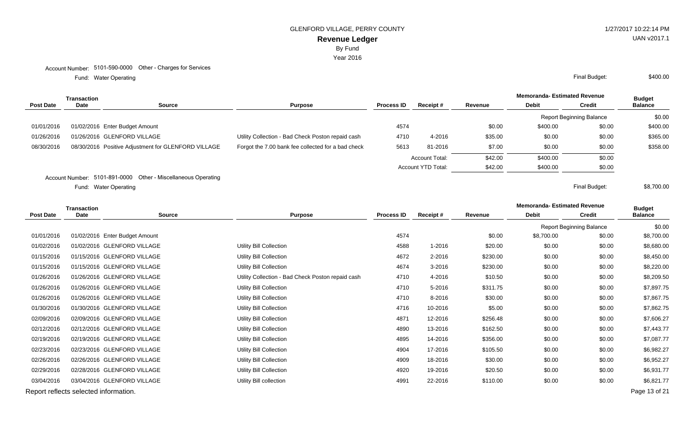Year 2016

Account Number: 5101-590-0000 Other - Charges for Services

Water Operating Final Budget: Fund: Water Operating

|                  | Transaction |                                                     | <b>Purpose</b>                                     |                   |                           |         | <b>Memoranda- Estimated Revenue</b> |                                 | <b>Budget</b>  |
|------------------|-------------|-----------------------------------------------------|----------------------------------------------------|-------------------|---------------------------|---------|-------------------------------------|---------------------------------|----------------|
| <b>Post Date</b> | Date        | <b>Source</b>                                       |                                                    | <b>Process ID</b> | Receipt#                  | Revenue | <b>Debit</b>                        | <b>Credit</b>                   | <b>Balance</b> |
|                  |             |                                                     |                                                    |                   |                           |         |                                     | <b>Report Beginning Balance</b> | \$0.00         |
| 01/01/2016       |             | 01/02/2016 Enter Budget Amount                      |                                                    | 4574              |                           | \$0.00  | \$400.00                            | \$0.00                          | \$400.00       |
| 01/26/2016       |             | 01/26/2016 GLENFORD VILLAGE                         | Utility Collection - Bad Check Poston repaid cash  | 4710              | 4-2016                    | \$35.00 | \$0.00                              | \$0.00                          | \$365.00       |
| 08/30/2016       |             | 08/30/2016 Positive Adjustment for GLENFORD VILLAGE | Forgot the 7.00 bank fee collected for a bad check | 5613              | 81-2016                   | \$7.00  | \$0.00                              | \$0.00                          | \$358.00       |
|                  |             |                                                     |                                                    |                   | Account Total:            | \$42.00 | \$400.00                            | \$0.00                          |                |
|                  |             |                                                     |                                                    |                   | <b>Account YTD Total:</b> | \$42.00 | \$400.00                            | \$0.00                          |                |

Account Number: 5101-891-0000 Other - Miscellaneous Operating

Water Operating Final Budget: Fund: Water Operating

|                  | <b>Transaction</b>                    |                                |                                                   |                   |          |          | <b>Memoranda-Estimated Revenue</b> |                                 | <b>Budget</b>  |
|------------------|---------------------------------------|--------------------------------|---------------------------------------------------|-------------------|----------|----------|------------------------------------|---------------------------------|----------------|
| <b>Post Date</b> | <b>Date</b>                           | <b>Source</b>                  | <b>Purpose</b>                                    | <b>Process ID</b> | Receipt# | Revenue  | <b>Debit</b>                       | <b>Credit</b>                   | <b>Balance</b> |
|                  |                                       |                                |                                                   |                   |          |          |                                    | <b>Report Beginning Balance</b> | \$0.00         |
| 01/01/2016       |                                       | 01/02/2016 Enter Budget Amount |                                                   | 4574              |          | \$0.00   | \$8,700.00                         | \$0.00                          | \$8,700.00     |
| 01/02/2016       |                                       | 01/02/2016 GLENFORD VILLAGE    | <b>Utility Bill Collection</b>                    | 4588              | 1-2016   | \$20.00  | \$0.00                             | \$0.00                          | \$8,680.00     |
| 01/15/2016       |                                       | 01/15/2016 GLENFORD VILLAGE    | <b>Utility Bill Collection</b>                    | 4672              | 2-2016   | \$230.00 | \$0.00                             | \$0.00                          | \$8,450.00     |
| 01/15/2016       |                                       | 01/15/2016 GLENFORD VILLAGE    | <b>Utility Bill Collection</b>                    | 4674              | 3-2016   | \$230.00 | \$0.00                             | \$0.00                          | \$8,220.00     |
| 01/26/2016       |                                       | 01/26/2016 GLENFORD VILLAGE    | Utility Collection - Bad Check Poston repaid cash | 4710              | 4-2016   | \$10.50  | \$0.00                             | \$0.00                          | \$8,209.50     |
| 01/26/2016       |                                       | 01/26/2016 GLENFORD VILLAGE    | <b>Utility Bill Collection</b>                    | 4710              | 5-2016   | \$311.75 | \$0.00                             | \$0.00                          | \$7,897.75     |
| 01/26/2016       |                                       | 01/26/2016 GLENFORD VILLAGE    | <b>Utility Bill Collection</b>                    | 4710              | 8-2016   | \$30.00  | \$0.00                             | \$0.00                          | \$7,867.75     |
| 01/30/2016       |                                       | 01/30/2016 GLENFORD VILLAGE    | <b>Utility Bill Collection</b>                    | 4716              | 10-2016  | \$5.00   | \$0.00                             | \$0.00                          | \$7,862.75     |
| 02/09/2016       |                                       | 02/09/2016 GLENFORD VILLAGE    | <b>Utility Bill Collection</b>                    | 4871              | 12-2016  | \$256.48 | \$0.00                             | \$0.00                          | \$7,606.27     |
| 02/12/2016       |                                       | 02/12/2016 GLENFORD VILLAGE    | <b>Utility Bill Collection</b>                    | 4890              | 13-2016  | \$162.50 | \$0.00                             | \$0.00                          | \$7,443.77     |
| 02/19/2016       |                                       | 02/19/2016 GLENFORD VILLAGE    | <b>Utility Bill Collection</b>                    | 4895              | 14-2016  | \$356.00 | \$0.00                             | \$0.00                          | \$7,087.77     |
| 02/23/2016       |                                       | 02/23/2016 GLENFORD VILLAGE    | <b>Utility Bill Collection</b>                    | 4904              | 17-2016  | \$105.50 | \$0.00                             | \$0.00                          | \$6,982.27     |
| 02/26/2016       |                                       | 02/26/2016 GLENFORD VILLAGE    | <b>Utility Bill Collection</b>                    | 4909              | 18-2016  | \$30.00  | \$0.00                             | \$0.00                          | \$6,952.27     |
| 02/29/2016       |                                       | 02/28/2016 GLENFORD VILLAGE    | <b>Utility Bill Collection</b>                    | 4920              | 19-2016  | \$20.50  | \$0.00                             | \$0.00                          | \$6,931.77     |
| 03/04/2016       |                                       | 03/04/2016 GLENFORD VILLAGE    | Utility Bill collection                           | 4991              | 22-2016  | \$110.00 | \$0.00                             | \$0.00                          | \$6,821.77     |
|                  | Report reflects selected information. |                                |                                                   |                   |          |          |                                    |                                 | Page 13 of 21  |

UAN v2017.1

\$400.00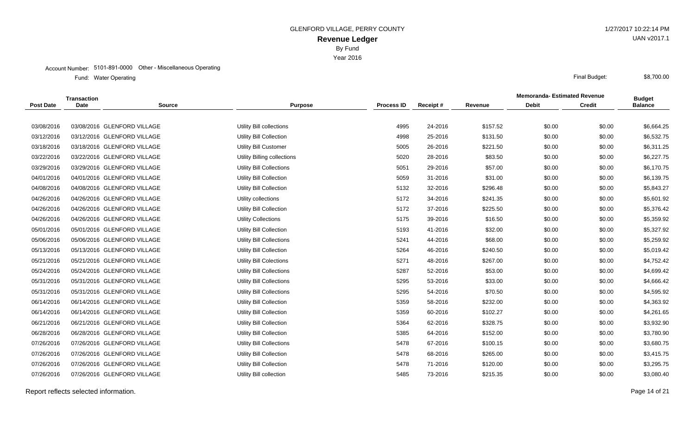Year 2016

#### Account Number: 5101-891-0000 Other - Miscellaneous Operating

Water Operating Final Budget: Fund: Water Operating

|                  | <b>Transaction</b> |                             |                                 |                   |          |          | <b>Memoranda- Estimated Revenue</b> |               |                                 |
|------------------|--------------------|-----------------------------|---------------------------------|-------------------|----------|----------|-------------------------------------|---------------|---------------------------------|
| <b>Post Date</b> | <b>Date</b>        | <b>Source</b>               | <b>Purpose</b>                  | <b>Process ID</b> | Receipt# | Revenue  | <b>Debit</b>                        | <b>Credit</b> | <b>Budget</b><br><b>Balance</b> |
|                  |                    |                             |                                 |                   |          |          |                                     |               |                                 |
| 03/08/2016       |                    | 03/08/2016 GLENFORD VILLAGE | Utility Bill collections        | 4995              | 24-2016  | \$157.52 | \$0.00                              | \$0.00        | \$6,664.25                      |
| 03/12/2016       |                    | 03/12/2016 GLENFORD VILLAGE | Utility Bill Collection         | 4998              | 25-2016  | \$131.50 | \$0.00                              | \$0.00        | \$6,532.75                      |
| 03/18/2016       |                    | 03/18/2016 GLENFORD VILLAGE | <b>Utility Bill Customer</b>    | 5005              | 26-2016  | \$221.50 | \$0.00                              | \$0.00        | \$6,311.25                      |
| 03/22/2016       |                    | 03/22/2016 GLENFORD VILLAGE | Utility Billing collections     | 5020              | 28-2016  | \$83.50  | \$0.00                              | \$0.00        | \$6,227.75                      |
| 03/29/2016       |                    | 03/29/2016 GLENFORD VILLAGE | <b>Utility Bill Collections</b> | 5051              | 29-2016  | \$57.00  | \$0.00                              | \$0.00        | \$6,170.75                      |
| 04/01/2016       |                    | 04/01/2016 GLENFORD VILLAGE | <b>Utility Bill Collection</b>  | 5059              | 31-2016  | \$31.00  | \$0.00                              | \$0.00        | \$6,139.75                      |
| 04/08/2016       |                    | 04/08/2016 GLENFORD VILLAGE | <b>Utility Bill Collection</b>  | 5132              | 32-2016  | \$296.48 | \$0.00                              | \$0.00        | \$5,843.27                      |
| 04/26/2016       |                    | 04/26/2016 GLENFORD VILLAGE | Utility collections             | 5172              | 34-2016  | \$241.35 | \$0.00                              | \$0.00        | \$5,601.92                      |
| 04/26/2016       |                    | 04/26/2016 GLENFORD VILLAGE | Utility Bill Collection         | 5172              | 37-2016  | \$225.50 | \$0.00                              | \$0.00        | \$5,376.42                      |
| 04/26/2016       |                    | 04/26/2016 GLENFORD VILLAGE | <b>Utility Collections</b>      | 5175              | 39-2016  | \$16.50  | \$0.00                              | \$0.00        | \$5,359.92                      |
| 05/01/2016       |                    | 05/01/2016 GLENFORD VILLAGE | <b>Utility Bill Collection</b>  | 5193              | 41-2016  | \$32.00  | \$0.00                              | \$0.00        | \$5,327.92                      |
| 05/06/2016       |                    | 05/06/2016 GLENFORD VILLAGE | <b>Utility Bill Collections</b> | 5241              | 44-2016  | \$68.00  | \$0.00                              | \$0.00        | \$5,259.92                      |
| 05/13/2016       |                    | 05/13/2016 GLENFORD VILLAGE | Utility Bill Collection         | 5264              | 46-2016  | \$240.50 | \$0.00                              | \$0.00        | \$5,019.42                      |
| 05/21/2016       |                    | 05/21/2016 GLENFORD VILLAGE | <b>Utility Bill Colections</b>  | 5271              | 48-2016  | \$267.00 | \$0.00                              | \$0.00        | \$4,752.42                      |
| 05/24/2016       |                    | 05/24/2016 GLENFORD VILLAGE | Utility Bill Collections        | 5287              | 52-2016  | \$53.00  | \$0.00                              | \$0.00        | \$4,699.42                      |
| 05/31/2016       |                    | 05/31/2016 GLENFORD VILLAGE | Utility Bill Collections        | 5295              | 53-2016  | \$33.00  | \$0.00                              | \$0.00        | \$4,666.42                      |
| 05/31/2016       |                    | 05/31/2016 GLENFORD VILLAGE | Utility Bill Collections        | 5295              | 54-2016  | \$70.50  | \$0.00                              | \$0.00        | \$4,595.92                      |
| 06/14/2016       |                    | 06/14/2016 GLENFORD VILLAGE | Utility Bill Collection         | 5359              | 58-2016  | \$232.00 | \$0.00                              | \$0.00        | \$4,363.92                      |
| 06/14/2016       |                    | 06/14/2016 GLENFORD VILLAGE | <b>Utility Bill Collection</b>  | 5359              | 60-2016  | \$102.27 | \$0.00                              | \$0.00        | \$4,261.65                      |
| 06/21/2016       |                    | 06/21/2016 GLENFORD VILLAGE | <b>Utility Bill Collection</b>  | 5364              | 62-2016  | \$328.75 | \$0.00                              | \$0.00        | \$3,932.90                      |
| 06/28/2016       |                    | 06/28/2016 GLENFORD VILLAGE | <b>Utility Bill Collection</b>  | 5385              | 64-2016  | \$152.00 | \$0.00                              | \$0.00        | \$3,780.90                      |
| 07/26/2016       |                    | 07/26/2016 GLENFORD VILLAGE | Utility Bill Collections        | 5478              | 67-2016  | \$100.15 | \$0.00                              | \$0.00        | \$3,680.75                      |
| 07/26/2016       |                    | 07/26/2016 GLENFORD VILLAGE | <b>Utility Bill Collection</b>  | 5478              | 68-2016  | \$265.00 | \$0.00                              | \$0.00        | \$3,415.75                      |
| 07/26/2016       |                    | 07/26/2016 GLENFORD VILLAGE | <b>Utility Bill Collection</b>  | 5478              | 71-2016  | \$120.00 | \$0.00                              | \$0.00        | \$3,295.75                      |
| 07/26/2016       |                    | 07/26/2016 GLENFORD VILLAGE | Utility Bill collection         | 5485              | 73-2016  | \$215.35 | \$0.00                              | \$0.00        | \$3,080.40                      |
|                  |                    |                             |                                 |                   |          |          |                                     |               |                                 |

Report reflects selected information. Page 14 of 21

UAN v2017.1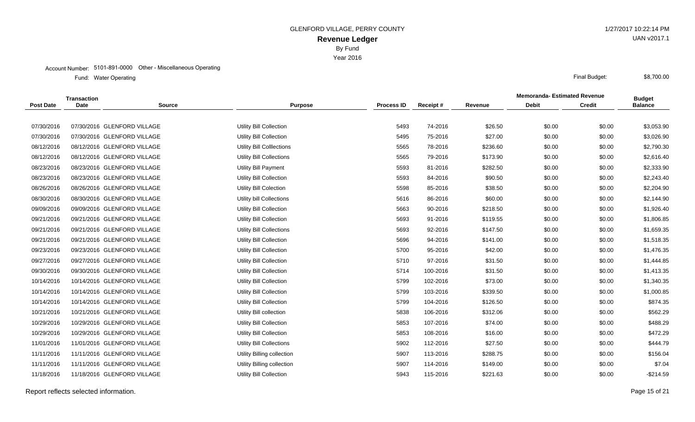Year 2016

#### Account Number: 5101-891-0000 Other - Miscellaneous Operating

Water Operating Final Budget: Fund: Water Operating

|                  | <b>Transaction</b> |                             |                                 |                   |          |          | <b>Memoranda- Estimated Revenue</b> |               | <b>Budget</b>  |
|------------------|--------------------|-----------------------------|---------------------------------|-------------------|----------|----------|-------------------------------------|---------------|----------------|
| <b>Post Date</b> | <b>Date</b>        | <b>Source</b>               | <b>Purpose</b>                  | <b>Process ID</b> | Receipt# | Revenue  | <b>Debit</b>                        | <b>Credit</b> | <b>Balance</b> |
|                  |                    |                             |                                 |                   |          |          |                                     |               |                |
| 07/30/2016       |                    | 07/30/2016 GLENFORD VILLAGE | Utility Bill Collection         | 5493              | 74-2016  | \$26.50  | \$0.00                              | \$0.00        | \$3,053.90     |
| 07/30/2016       |                    | 07/30/2016 GLENFORD VILLAGE | Utility Bill Collection         | 5495              | 75-2016  | \$27.00  | \$0.00                              | \$0.00        | \$3,026.90     |
| 08/12/2016       |                    | 08/12/2016 GLENFORD VILLAGE | Utility Bill Colllections       | 5565              | 78-2016  | \$236.60 | \$0.00                              | \$0.00        | \$2,790.30     |
| 08/12/2016       |                    | 08/12/2016 GLENFORD VILLAGE | <b>Utility Bill Collections</b> | 5565              | 79-2016  | \$173.90 | \$0.00                              | \$0.00        | \$2,616.40     |
| 08/23/2016       |                    | 08/23/2016 GLENFORD VILLAGE | <b>Utility Bill Payment</b>     | 5593              | 81-2016  | \$282.50 | \$0.00                              | \$0.00        | \$2,333.90     |
| 08/23/2016       |                    | 08/23/2016 GLENFORD VILLAGE | Utility Bill Collection         | 5593              | 84-2016  | \$90.50  | \$0.00                              | \$0.00        | \$2,243.40     |
| 08/26/2016       |                    | 08/26/2016 GLENFORD VILLAGE | Utility Bill Colection          | 5598              | 85-2016  | \$38.50  | \$0.00                              | \$0.00        | \$2,204.90     |
| 08/30/2016       |                    | 08/30/2016 GLENFORD VILLAGE | Utility bill Collections        | 5616              | 86-2016  | \$60.00  | \$0.00                              | \$0.00        | \$2,144.90     |
| 09/09/2016       |                    | 09/09/2016 GLENFORD VILLAGE | <b>Utility Bill Collection</b>  | 5663              | 90-2016  | \$218.50 | \$0.00                              | \$0.00        | \$1,926.40     |
| 09/21/2016       |                    | 09/21/2016 GLENFORD VILLAGE | <b>Utility Bill Collection</b>  | 5693              | 91-2016  | \$119.55 | \$0.00                              | \$0.00        | \$1,806.85     |
| 09/21/2016       |                    | 09/21/2016 GLENFORD VILLAGE | <b>Utility Bill Collections</b> | 5693              | 92-2016  | \$147.50 | \$0.00                              | \$0.00        | \$1,659.35     |
| 09/21/2016       |                    | 09/21/2016 GLENFORD VILLAGE | <b>Utility Bill Collection</b>  | 5696              | 94-2016  | \$141.00 | \$0.00                              | \$0.00        | \$1,518.35     |
| 09/23/2016       |                    | 09/23/2016 GLENFORD VILLAGE | <b>Utility Bill Collection</b>  | 5700              | 95-2016  | \$42.00  | \$0.00                              | \$0.00        | \$1,476.35     |
| 09/27/2016       |                    | 09/27/2016 GLENFORD VILLAGE | <b>Utility Bill Collection</b>  | 5710              | 97-2016  | \$31.50  | \$0.00                              | \$0.00        | \$1,444.85     |
| 09/30/2016       |                    | 09/30/2016 GLENFORD VILLAGE | Utility Bill Collection         | 5714              | 100-2016 | \$31.50  | \$0.00                              | \$0.00        | \$1,413.35     |
| 10/14/2016       |                    | 10/14/2016 GLENFORD VILLAGE | <b>Utility Bill Collection</b>  | 5799              | 102-2016 | \$73.00  | \$0.00                              | \$0.00        | \$1,340.35     |
| 10/14/2016       |                    | 10/14/2016 GLENFORD VILLAGE | <b>Utility Bill Collection</b>  | 5799              | 103-2016 | \$339.50 | \$0.00                              | \$0.00        | \$1,000.85     |
| 10/14/2016       |                    | 10/14/2016 GLENFORD VILLAGE | Utility Bill Collection         | 5799              | 104-2016 | \$126.50 | \$0.00                              | \$0.00        | \$874.35       |
| 10/21/2016       |                    | 10/21/2016 GLENFORD VILLAGE | Utility Bill collection         | 5838              | 106-2016 | \$312.06 | \$0.00                              | \$0.00        | \$562.29       |
| 10/29/2016       |                    | 10/29/2016 GLENFORD VILLAGE | <b>Utility Bill Collection</b>  | 5853              | 107-2016 | \$74.00  | \$0.00                              | \$0.00        | \$488.29       |
| 10/29/2016       |                    | 10/29/2016 GLENFORD VILLAGE | <b>Utility Bill Collection</b>  | 5853              | 108-2016 | \$16.00  | \$0.00                              | \$0.00        | \$472.29       |
| 11/01/2016       |                    | 11/01/2016 GLENFORD VILLAGE | Utility Bill Collections        | 5902              | 112-2016 | \$27.50  | \$0.00                              | \$0.00        | \$444.79       |
| 11/11/2016       |                    | 11/11/2016 GLENFORD VILLAGE | Utility Billing collection      | 5907              | 113-2016 | \$288.75 | \$0.00                              | \$0.00        | \$156.04       |
| 11/11/2016       |                    | 11/11/2016 GLENFORD VILLAGE | Utility Billing collection      | 5907              | 114-2016 | \$149.00 | \$0.00                              | \$0.00        | \$7.04         |
| 11/18/2016       |                    | 11/18/2016 GLENFORD VILLAGE | Utility Bill Collection         | 5943              | 115-2016 | \$221.63 | \$0.00                              | \$0.00        | $-$214.59$     |
|                  |                    |                             |                                 |                   |          |          |                                     |               |                |

Report reflects selected information. Page 15 of 21

UAN v2017.1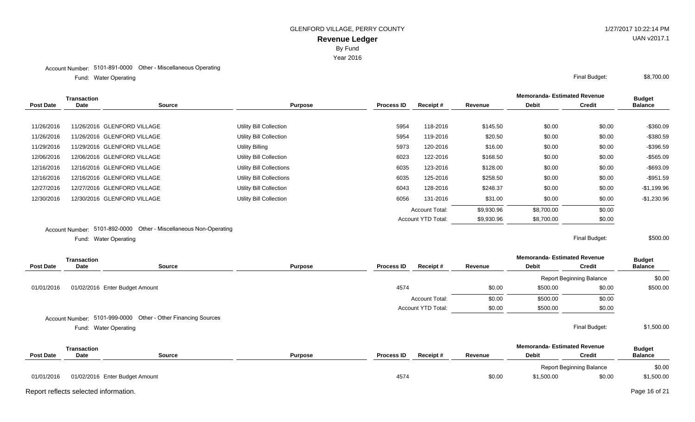Year 2016

### Account Number: 5101-891-0000 Other - Miscellaneous Operating

Water Operating Final Budget: Fund: Water Operating

|            | Transaction            |                                                   |                                |                   |                           |            | <b>Memoranda-Estimated Revenue</b> |               | <b>Budget</b>  |
|------------|------------------------|---------------------------------------------------|--------------------------------|-------------------|---------------------------|------------|------------------------------------|---------------|----------------|
| Post Date  | <b>Date</b>            | <b>Source</b><br><b>Purpose</b>                   |                                | <b>Process ID</b> | Receipt#                  | Revenue    | <b>Debit</b>                       | <b>Credit</b> | <b>Balance</b> |
|            |                        |                                                   |                                |                   |                           |            |                                    |               |                |
| 11/26/2016 |                        | 11/26/2016 GLENFORD VILLAGE                       | Utility Bill Collection        | 5954              | 118-2016                  | \$145.50   | \$0.00                             | \$0.00        | $-$ \$360.09   |
| 11/26/2016 |                        | 11/26/2016 GLENFORD VILLAGE                       | Utility Bill Collection        | 5954              | 119-2016                  | \$20.50    | \$0.00                             | \$0.00        | $-$380.59$     |
| 11/29/2016 |                        | 11/29/2016 GLENFORD VILLAGE                       | Utility Billing                | 5973              | 120-2016                  | \$16.00    | \$0.00                             | \$0.00        | -\$396.59      |
| 12/06/2016 |                        | 12/06/2016 GLENFORD VILLAGE                       | Utility Bill Collection        | 6023              | 122-2016                  | \$168.50   | \$0.00                             | \$0.00        | $-$565.09$     |
| 12/16/2016 |                        | 12/16/2016 GLENFORD VILLAGE                       | Utility Bill Collections       | 6035              | 123-2016                  | \$128.00   | \$0.00                             | \$0.00        | $-$693.09$     |
| 12/16/2016 |                        | 12/16/2016 GLENFORD VILLAGE                       | Utility Bill Collections       | 6035              | 125-2016                  | \$258.50   | \$0.00                             | \$0.00        | $-$951.59$     |
| 12/27/2016 |                        | 12/27/2016 GLENFORD VILLAGE                       | Utility Bill Collection        | 6043              | 128-2016                  | \$248.37   | \$0.00                             | \$0.00        | $-$1,199.96$   |
| 12/30/2016 |                        | 12/30/2016 GLENFORD VILLAGE                       | <b>Utility Bill Collection</b> | 6056              | 131-2016                  | \$31.00    | \$0.00                             | \$0.00        | $-$1,230.96$   |
|            |                        |                                                   |                                |                   | <b>Account Total:</b>     | \$9,930.96 | \$8,700.00                         | \$0.00        |                |
|            |                        |                                                   |                                |                   | <b>Account YTD Total:</b> | \$9,930.96 | \$8,700.00                         | \$0.00        |                |
|            | <b>Account Number:</b> | 5101-892-0000 Other - Miscellaneous Non-Operating |                                |                   |                           |            |                                    |               |                |

Water Operating Final Budget: Fund: Water Operating

\$500.00

|                  | <b>Transaction</b> |                                                               |                |                   |                           |         | <b>Memoranda- Estimated Revenue</b> |                                 | <b>Budget</b>  |
|------------------|--------------------|---------------------------------------------------------------|----------------|-------------------|---------------------------|---------|-------------------------------------|---------------------------------|----------------|
| <b>Post Date</b> | <b>Date</b>        | <b>Source</b>                                                 | <b>Purpose</b> | <b>Process ID</b> | Receipt#                  | Revenue | <b>Debit</b>                        | <b>Credit</b>                   | <b>Balance</b> |
|                  |                    |                                                               |                |                   |                           |         |                                     | <b>Report Beginning Balance</b> | \$0.00         |
| 01/01/2016       |                    | 01/02/2016 Enter Budget Amount                                |                | 4574              |                           | \$0.00  | \$500.00                            | \$0.00                          | \$500.00       |
|                  |                    |                                                               |                |                   | <b>Account Total:</b>     | \$0.00  | \$500.00                            | \$0.00                          |                |
|                  |                    |                                                               |                |                   | <b>Account YTD Total:</b> | \$0.00  | \$500.00                            | \$0.00                          |                |
|                  |                    | Account Number: 5101-999-0000 Other - Other Financing Sources |                |                   |                           |         |                                     |                                 |                |
|                  |                    | Fund: Water Operating                                         |                |                   |                           |         |                                     | Final Budget:                   | \$1,500.00     |
|                  | Transaction        |                                                               |                |                   |                           |         | <b>Memoranda- Estimated Revenue</b> |                                 | <b>Budget</b>  |
| <b>Post Date</b> | <b>Date</b>        | <b>Source</b>                                                 | <b>Purpose</b> | <b>Process ID</b> | Receipt#                  | Revenue | <b>Debit</b>                        | <b>Credit</b>                   | <b>Balance</b> |
|                  |                    |                                                               |                |                   |                           |         |                                     | <b>Report Beginning Balance</b> | \$0.00         |
| 01/01/2016       |                    | 01/02/2016 Enter Budget Amount                                |                | 4574              |                           | \$0.00  | \$1,500.00                          | \$0.00                          | \$1,500.00     |

Report reflects selected information. Page 16 of 21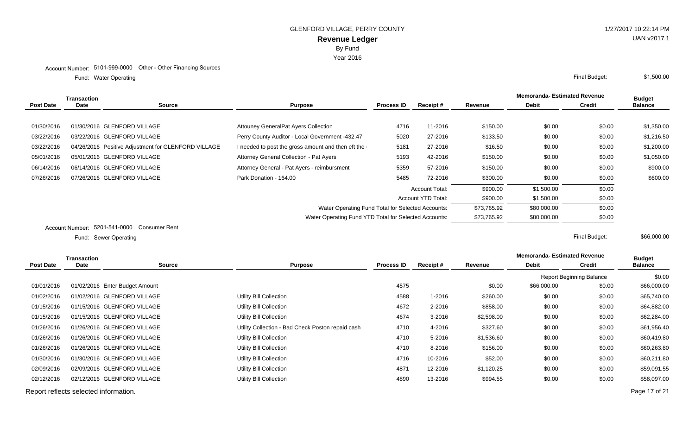Water Operating Final Budget: Fund: Water Operating

|                  | <b>Transaction</b>            |                                                     |                                                       |                   |                       |             | <b>Memoranda-Estimated Revenue</b> | <b>Budget</b> |                |
|------------------|-------------------------------|-----------------------------------------------------|-------------------------------------------------------|-------------------|-----------------------|-------------|------------------------------------|---------------|----------------|
| <b>Post Date</b> | Date                          | <b>Source</b>                                       | <b>Purpose</b>                                        | <b>Process ID</b> | Receipt#              | Revenue     | <b>Debit</b>                       | <b>Credit</b> | <b>Balance</b> |
|                  |                               |                                                     |                                                       |                   |                       |             |                                    |               |                |
| 01/30/2016       |                               | 01/30/2016 GLENFORD VILLAGE                         | <b>Attouney GeneralPat Ayers Collection</b>           | 4716              | 11-2016               | \$150.00    | \$0.00                             | \$0.00        | \$1,350.00     |
| 03/22/2016       |                               | 03/22/2016 GLENFORD VILLAGE                         | Perry County Auditor - Local Government -432.47       | 5020              | 27-2016               | \$133.50    | \$0.00                             | \$0.00        | \$1,216.50     |
| 03/22/2016       |                               | 04/26/2016 Positive Adjustment for GLENFORD VILLAGE | I needed to post the gross amount and then eft the    | 5181              | 27-2016               | \$16.50     | \$0.00                             | \$0.00        | \$1,200.00     |
| 05/01/2016       |                               | 05/01/2016 GLENFORD VILLAGE                         | Attorney General Collection - Pat Ayers               | 5193              | 42-2016               | \$150.00    | \$0.00                             | \$0.00        | \$1,050.00     |
| 06/14/2016       |                               | 06/14/2016 GLENFORD VILLAGE                         | Attorney General - Pat Ayers - reimbursment           | 5359              | 57-2016               | \$150.00    | \$0.00                             | \$0.00        | \$900.00       |
| 07/26/2016       |                               | 07/26/2016 GLENFORD VILLAGE                         | Park Donation - 164.00                                | 5485              | 72-2016               | \$300.00    | \$0.00                             | \$0.00        | \$600.00       |
|                  |                               |                                                     |                                                       |                   | <b>Account Total:</b> | \$900.00    | \$1,500.00                         | \$0.00        |                |
|                  |                               |                                                     | Account YTD Total:                                    |                   |                       | \$900.00    | \$1,500.00                         | \$0.00        |                |
|                  |                               |                                                     | Water Operating Fund Total for Selected Accounts:     |                   | \$73,765.92           | \$80,000.00 | \$0.00                             |               |                |
|                  |                               |                                                     | Water Operating Fund YTD Total for Selected Accounts: | \$73,765.92       | \$80,000.00           | \$0.00      |                                    |               |                |
|                  | Account Number: 5201-541-0000 | Consumer Rent                                       |                                                       |                   |                       |             |                                    |               |                |

Sewer Operating Final Budget: Fund: Sewer Operating

|                  | Transaction                           |                                |                                                   |                   |            |            | <b>Memoranda-Estimated Revenue</b> |                                 | <b>Budget</b>  |
|------------------|---------------------------------------|--------------------------------|---------------------------------------------------|-------------------|------------|------------|------------------------------------|---------------------------------|----------------|
| <b>Post Date</b> | <b>Date</b>                           | <b>Source</b>                  | <b>Purpose</b>                                    | <b>Process ID</b> | Receipt#   | Revenue    | <b>Debit</b>                       | <b>Credit</b>                   | <b>Balance</b> |
|                  |                                       |                                |                                                   |                   |            |            |                                    | <b>Report Beginning Balance</b> | \$0.00         |
| 01/01/2016       |                                       | 01/02/2016 Enter Budget Amount |                                                   | 4575              |            | \$0.00     | \$66,000.00                        | \$0.00                          | \$66,000.00    |
| 01/02/2016       |                                       | 01/02/2016 GLENFORD VILLAGE    | Utility Bill Collection                           | 4588              | 1-2016     | \$260.00   | \$0.00                             | \$0.00                          | \$65,740.00    |
| 01/15/2016       |                                       | 01/15/2016 GLENFORD VILLAGE    | Utility Bill Collection                           | 4672              | 2-2016     | \$858.00   | \$0.00                             | \$0.00                          | \$64,882.00    |
| 01/15/2016       |                                       | 01/15/2016 GLENFORD VILLAGE    | Utility Bill Collection                           | 4674              | $3 - 2016$ | \$2,598.00 | \$0.00                             | \$0.00                          | \$62,284.00    |
| 01/26/2016       |                                       | 01/26/2016 GLENFORD VILLAGE    | Utility Collection - Bad Check Poston repaid cash | 4710              | 4-2016     | \$327.60   | \$0.00                             | \$0.00                          | \$61,956.40    |
| 01/26/2016       |                                       | 01/26/2016 GLENFORD VILLAGE    | Utility Bill Collection                           | 4710              | 5-2016     | \$1,536.60 | \$0.00                             | \$0.00                          | \$60,419.80    |
| 01/26/2016       |                                       | 01/26/2016 GLENFORD VILLAGE    | Utility Bill Collection                           | 4710              | 8-2016     | \$156.00   | \$0.00                             | \$0.00                          | \$60,263.80    |
| 01/30/2016       |                                       | 01/30/2016 GLENFORD VILLAGE    | Utility Bill Collection                           | 4716              | 10-2016    | \$52.00    | \$0.00                             | \$0.00                          | \$60,211.80    |
| 02/09/2016       |                                       | 02/09/2016 GLENFORD VILLAGE    | Utility Bill Collection                           | 4871              | 12-2016    | \$1,120.25 | \$0.00                             | \$0.00                          | \$59,091.55    |
| 02/12/2016       |                                       | 02/12/2016 GLENFORD VILLAGE    | Utility Bill Collection                           | 4890              | 13-2016    | \$994.55   | \$0.00                             | \$0.00                          | \$58,097.00    |
|                  | Report reflects selected information. |                                |                                                   |                   |            |            |                                    |                                 | Page 17 of 21  |

\$66,000.00

UAN v2017.1

\$1,500.00

By Fund Year 2016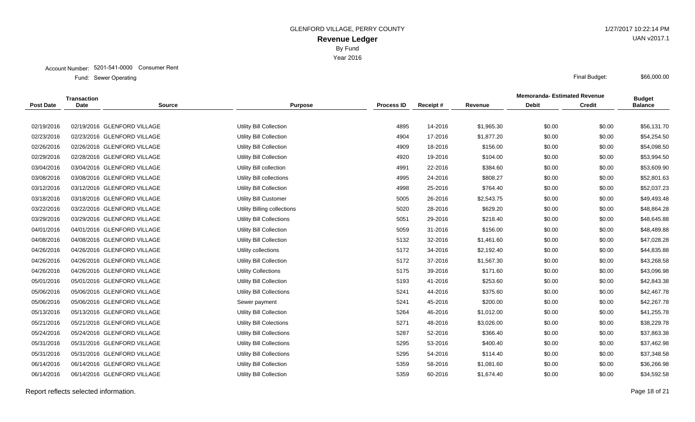Year 2016

|                  | Transaction |                             |                                 |                   |          |            | <b>Memoranda-Estimated Revenue</b> |               | <b>Budget</b>  |
|------------------|-------------|-----------------------------|---------------------------------|-------------------|----------|------------|------------------------------------|---------------|----------------|
| <b>Post Date</b> | <b>Date</b> | <b>Source</b>               | <b>Purpose</b>                  | <b>Process ID</b> | Receipt# | Revenue    | <b>Debit</b>                       | <b>Credit</b> | <b>Balance</b> |
|                  |             |                             |                                 |                   |          |            |                                    |               |                |
| 02/19/2016       |             | 02/19/2016 GLENFORD VILLAGE | Utility Bill Collection         | 4895              | 14-2016  | \$1,965.30 | \$0.00                             | \$0.00        | \$56,131.70    |
| 02/23/2016       |             | 02/23/2016 GLENFORD VILLAGE | Utility Bill Collection         | 4904              | 17-2016  | \$1,877.20 | \$0.00                             | \$0.00        | \$54,254.50    |
| 02/26/2016       |             | 02/26/2016 GLENFORD VILLAGE | Utility Bill Collection         | 4909              | 18-2016  | \$156.00   | \$0.00                             | \$0.00        | \$54,098.50    |
| 02/29/2016       |             | 02/28/2016 GLENFORD VILLAGE | Utility Bill Collection         | 4920              | 19-2016  | \$104.00   | \$0.00                             | \$0.00        | \$53,994.50    |
| 03/04/2016       |             | 03/04/2016 GLENFORD VILLAGE | Utility Bill collection         | 4991              | 22-2016  | \$384.60   | \$0.00                             | \$0.00        | \$53,609.90    |
| 03/08/2016       |             | 03/08/2016 GLENFORD VILLAGE | Utility Bill collections        | 4995              | 24-2016  | \$808.27   | \$0.00                             | \$0.00        | \$52,801.63    |
| 03/12/2016       |             | 03/12/2016 GLENFORD VILLAGE | <b>Utility Bill Collection</b>  | 4998              | 25-2016  | \$764.40   | \$0.00                             | \$0.00        | \$52,037.23    |
| 03/18/2016       |             | 03/18/2016 GLENFORD VILLAGE | <b>Utility Bill Customer</b>    | 5005              | 26-2016  | \$2,543.75 | \$0.00                             | \$0.00        | \$49,493.48    |
| 03/22/2016       |             | 03/22/2016 GLENFORD VILLAGE | Utility Billing collections     | 5020              | 28-2016  | \$629.20   | \$0.00                             | \$0.00        | \$48,864.28    |
| 03/29/2016       |             | 03/29/2016 GLENFORD VILLAGE | <b>Utility Bill Collections</b> | 5051              | 29-2016  | \$218.40   | \$0.00                             | \$0.00        | \$48,645.88    |
| 04/01/2016       |             | 04/01/2016 GLENFORD VILLAGE | <b>Utility Bill Collection</b>  | 5059              | 31-2016  | \$156.00   | \$0.00                             | \$0.00        | \$48,489.88    |
| 04/08/2016       |             | 04/08/2016 GLENFORD VILLAGE | <b>Utility Bill Collection</b>  | 5132              | 32-2016  | \$1,461.60 | \$0.00                             | \$0.00        | \$47,028.28    |
| 04/26/2016       |             | 04/26/2016 GLENFORD VILLAGE | Utility collections             | 5172              | 34-2016  | \$2,192.40 | \$0.00                             | \$0.00        | \$44,835.88    |
| 04/26/2016       |             | 04/26/2016 GLENFORD VILLAGE | <b>Utility Bill Collection</b>  | 5172              | 37-2016  | \$1,567.30 | \$0.00                             | \$0.00        | \$43,268.58    |
| 04/26/2016       |             | 04/26/2016 GLENFORD VILLAGE | <b>Utility Collections</b>      | 5175              | 39-2016  | \$171.60   | \$0.00                             | \$0.00        | \$43,096.98    |
| 05/01/2016       |             | 05/01/2016 GLENFORD VILLAGE | <b>Utility Bill Collection</b>  | 5193              | 41-2016  | \$253.60   | \$0.00                             | \$0.00        | \$42,843.38    |
| 05/06/2016       |             | 05/06/2016 GLENFORD VILLAGE | Utility Bill Collections        | 5241              | 44-2016  | \$375.60   | \$0.00                             | \$0.00        | \$42,467.78    |
| 05/06/2016       |             | 05/06/2016 GLENFORD VILLAGE | Sewer payment                   | 5241              | 45-2016  | \$200.00   | \$0.00                             | \$0.00        | \$42,267.78    |
| 05/13/2016       |             | 05/13/2016 GLENFORD VILLAGE | Utility Bill Collection         | 5264              | 46-2016  | \$1,012.00 | \$0.00                             | \$0.00        | \$41,255.78    |
| 05/21/2016       |             | 05/21/2016 GLENFORD VILLAGE | <b>Utility Bill Colections</b>  | 5271              | 48-2016  | \$3,026.00 | \$0.00                             | \$0.00        | \$38,229.78    |
| 05/24/2016       |             | 05/24/2016 GLENFORD VILLAGE | Utility Bill Collections        | 5287              | 52-2016  | \$366.40   | \$0.00                             | \$0.00        | \$37,863.38    |
| 05/31/2016       |             | 05/31/2016 GLENFORD VILLAGE | Utility Bill Collections        | 5295              | 53-2016  | \$400.40   | \$0.00                             | \$0.00        | \$37,462.98    |
| 05/31/2016       |             | 05/31/2016 GLENFORD VILLAGE | Utility Bill Collections        | 5295              | 54-2016  | \$114.40   | \$0.00                             | \$0.00        | \$37,348.58    |
| 06/14/2016       |             | 06/14/2016 GLENFORD VILLAGE | <b>Utility Bill Collection</b>  | 5359              | 58-2016  | \$1,081.60 | \$0.00                             | \$0.00        | \$36,266.98    |
| 06/14/2016       |             | 06/14/2016 GLENFORD VILLAGE | <b>Utility Bill Collection</b>  | 5359              | 60-2016  | \$1,674.40 | \$0.00                             | \$0.00        | \$34,592.58    |
|                  |             |                             |                                 |                   |          |            |                                    |               |                |

Report reflects selected information. Page 18 of 21

UAN v2017.1

\$66,000.00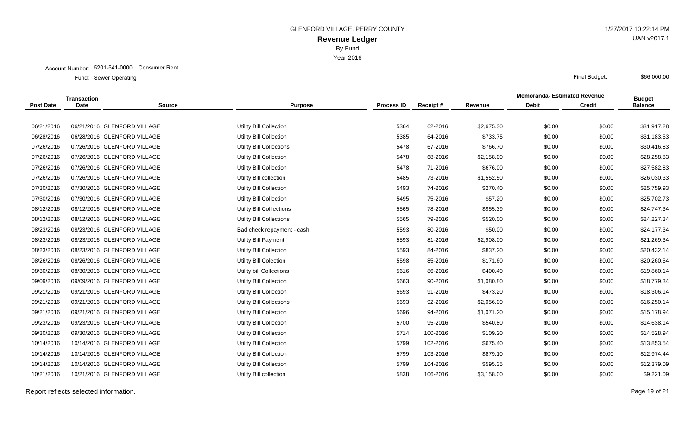Year 2016

|                  | Transaction |                             |                                  |                   |          |            | <b>Memoranda-Estimated Revenue</b> |               | <b>Budget</b>  |
|------------------|-------------|-----------------------------|----------------------------------|-------------------|----------|------------|------------------------------------|---------------|----------------|
| <b>Post Date</b> | <b>Date</b> | <b>Source</b>               | <b>Purpose</b>                   | <b>Process ID</b> | Receipt# | Revenue    | <b>Debit</b>                       | <b>Credit</b> | <b>Balance</b> |
|                  |             |                             |                                  |                   |          |            |                                    |               |                |
| 06/21/2016       |             | 06/21/2016 GLENFORD VILLAGE | Utility Bill Collection          | 5364              | 62-2016  | \$2,675.30 | \$0.00                             | \$0.00        | \$31,917.28    |
| 06/28/2016       |             | 06/28/2016 GLENFORD VILLAGE | Utility Bill Collection          | 5385              | 64-2016  | \$733.75   | \$0.00                             | \$0.00        | \$31,183.53    |
| 07/26/2016       |             | 07/26/2016 GLENFORD VILLAGE | Utility Bill Collections         | 5478              | 67-2016  | \$766.70   | \$0.00                             | \$0.00        | \$30,416.83    |
| 07/26/2016       |             | 07/26/2016 GLENFORD VILLAGE | Utility Bill Collection          | 5478              | 68-2016  | \$2,158.00 | \$0.00                             | \$0.00        | \$28,258.83    |
| 07/26/2016       |             | 07/26/2016 GLENFORD VILLAGE | Utility Bill Collection          | 5478              | 71-2016  | \$676.00   | \$0.00                             | \$0.00        | \$27,582.83    |
| 07/26/2016       |             | 07/26/2016 GLENFORD VILLAGE | Utility Bill collection          | 5485              | 73-2016  | \$1,552.50 | \$0.00                             | \$0.00        | \$26,030.33    |
| 07/30/2016       |             | 07/30/2016 GLENFORD VILLAGE | <b>Utility Bill Collection</b>   | 5493              | 74-2016  | \$270.40   | \$0.00                             | \$0.00        | \$25,759.93    |
| 07/30/2016       |             | 07/30/2016 GLENFORD VILLAGE | <b>Utility Bill Collection</b>   | 5495              | 75-2016  | \$57.20    | \$0.00                             | \$0.00        | \$25,702.73    |
| 08/12/2016       |             | 08/12/2016 GLENFORD VILLAGE | <b>Utility Bill Colllections</b> | 5565              | 78-2016  | \$955.39   | \$0.00                             | \$0.00        | \$24,747.34    |
| 08/12/2016       |             | 08/12/2016 GLENFORD VILLAGE | <b>Utility Bill Collections</b>  | 5565              | 79-2016  | \$520.00   | \$0.00                             | \$0.00        | \$24,227.34    |
| 08/23/2016       |             | 08/23/2016 GLENFORD VILLAGE | Bad check repayment - cash       | 5593              | 80-2016  | \$50.00    | \$0.00                             | \$0.00        | \$24,177.34    |
| 08/23/2016       |             | 08/23/2016 GLENFORD VILLAGE | <b>Utility Bill Payment</b>      | 5593              | 81-2016  | \$2,908.00 | \$0.00                             | \$0.00        | \$21,269.34    |
| 08/23/2016       |             | 08/23/2016 GLENFORD VILLAGE | <b>Utility Bill Collection</b>   | 5593              | 84-2016  | \$837.20   | \$0.00                             | \$0.00        | \$20,432.14    |
| 08/26/2016       |             | 08/26/2016 GLENFORD VILLAGE | Utility Bill Colection           | 5598              | 85-2016  | \$171.60   | \$0.00                             | \$0.00        | \$20,260.54    |
| 08/30/2016       |             | 08/30/2016 GLENFORD VILLAGE | Utility bill Collections         | 5616              | 86-2016  | \$400.40   | \$0.00                             | \$0.00        | \$19,860.14    |
| 09/09/2016       |             | 09/09/2016 GLENFORD VILLAGE | <b>Utility Bill Collection</b>   | 5663              | 90-2016  | \$1,080.80 | \$0.00                             | \$0.00        | \$18,779.34    |
| 09/21/2016       |             | 09/21/2016 GLENFORD VILLAGE | Utility Bill Collection          | 5693              | 91-2016  | \$473.20   | \$0.00                             | \$0.00        | \$18,306.14    |
| 09/21/2016       |             | 09/21/2016 GLENFORD VILLAGE | Utility Bill Collections         | 5693              | 92-2016  | \$2,056.00 | \$0.00                             | \$0.00        | \$16,250.14    |
| 09/21/2016       |             | 09/21/2016 GLENFORD VILLAGE | <b>Utility Bill Collection</b>   | 5696              | 94-2016  | \$1,071.20 | \$0.00                             | \$0.00        | \$15,178.94    |
| 09/23/2016       |             | 09/23/2016 GLENFORD VILLAGE | <b>Utility Bill Collection</b>   | 5700              | 95-2016  | \$540.80   | \$0.00                             | \$0.00        | \$14,638.14    |
| 09/30/2016       |             | 09/30/2016 GLENFORD VILLAGE | Utility Bill Collection          | 5714              | 100-2016 | \$109.20   | \$0.00                             | \$0.00        | \$14,528.94    |
| 10/14/2016       |             | 10/14/2016 GLENFORD VILLAGE | <b>Utility Bill Collection</b>   | 5799              | 102-2016 | \$675.40   | \$0.00                             | \$0.00        | \$13,853.54    |
| 10/14/2016       |             | 10/14/2016 GLENFORD VILLAGE | Utility Bill Collection          | 5799              | 103-2016 | \$879.10   | \$0.00                             | \$0.00        | \$12,974.44    |
| 10/14/2016       |             | 10/14/2016 GLENFORD VILLAGE | <b>Utility Bill Collection</b>   | 5799              | 104-2016 | \$595.35   | \$0.00                             | \$0.00        | \$12,379.09    |
| 10/21/2016       |             | 10/21/2016 GLENFORD VILLAGE | Utility Bill collection          | 5838              | 106-2016 | \$3,158.00 | \$0.00                             | \$0.00        | \$9,221.09     |
|                  |             |                             |                                  |                   |          |            |                                    |               |                |

Report reflects selected information. Page 19 of 21

UAN v2017.1

\$66,000.00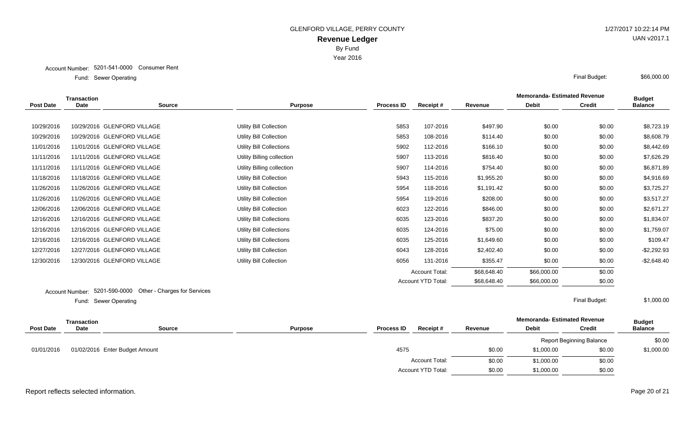Year 2016

## Account Number: 5201-541-0000 Consumer Rent

Sewer Operating Final Budget: Fund: Sewer Operating

|                  | <b>Transaction</b>     |                                               |                                |                       |                    |             | <b>Memoranda- Estimated Revenue</b> |               | <b>Budget</b>  |
|------------------|------------------------|-----------------------------------------------|--------------------------------|-----------------------|--------------------|-------------|-------------------------------------|---------------|----------------|
| <b>Post Date</b> | <b>Date</b>            | <b>Source</b>                                 | <b>Purpose</b>                 | <b>Process ID</b>     | Receipt#           | Revenue     | <b>Debit</b>                        | <b>Credit</b> | <b>Balance</b> |
|                  |                        |                                               |                                |                       |                    |             |                                     |               |                |
| 10/29/2016       |                        | 10/29/2016 GLENFORD VILLAGE                   | <b>Utility Bill Collection</b> | 5853                  | 107-2016           | \$497.90    | \$0.00                              | \$0.00        | \$8,723.19     |
| 10/29/2016       |                        | 10/29/2016 GLENFORD VILLAGE                   | <b>Utility Bill Collection</b> | 5853                  | 108-2016           | \$114.40    | \$0.00                              | \$0.00        | \$8,608.79     |
| 11/01/2016       |                        | 11/01/2016 GLENFORD VILLAGE                   | Utility Bill Collections       | 5902                  | 112-2016           | \$166.10    | \$0.00                              | \$0.00        | \$8,442.69     |
| 11/11/2016       |                        | 11/11/2016 GLENFORD VILLAGE                   | Utility Billing collection     | 5907                  | 113-2016           | \$816.40    | \$0.00                              | \$0.00        | \$7,626.29     |
| 11/11/2016       |                        | 11/11/2016 GLENFORD VILLAGE                   | Utility Billing collection     | 5907                  | 114-2016           | \$754.40    | \$0.00                              | \$0.00        | \$6,871.89     |
| 11/18/2016       |                        | 11/18/2016 GLENFORD VILLAGE                   | Utility Bill Collection        | 5943                  | 115-2016           | \$1,955.20  | \$0.00                              | \$0.00        | \$4,916.69     |
| 11/26/2016       |                        | 11/26/2016 GLENFORD VILLAGE                   | Utility Bill Collection        | 5954                  | 118-2016           | \$1,191.42  | \$0.00                              | \$0.00        | \$3,725.27     |
| 11/26/2016       |                        | 11/26/2016 GLENFORD VILLAGE                   | Utility Bill Collection        | 5954                  | 119-2016           | \$208.00    | \$0.00                              | \$0.00        | \$3,517.27     |
| 12/06/2016       |                        | 12/06/2016 GLENFORD VILLAGE                   | Utility Bill Collection        | 6023                  | 122-2016           | \$846.00    | \$0.00                              | \$0.00        | \$2,671.27     |
| 12/16/2016       |                        | 12/16/2016 GLENFORD VILLAGE                   | Utility Bill Collections       | 6035                  | 123-2016           | \$837.20    | \$0.00                              | \$0.00        | \$1,834.07     |
| 12/16/2016       |                        | 12/16/2016 GLENFORD VILLAGE                   | Utility Bill Collections       | 6035                  | 124-2016           | \$75.00     | \$0.00                              | \$0.00        | \$1,759.07     |
| 12/16/2016       |                        | 12/16/2016 GLENFORD VILLAGE                   | Utility Bill Collections       | 6035                  | 125-2016           | \$1,649.60  | \$0.00                              | \$0.00        | \$109.47       |
| 12/27/2016       |                        | 12/27/2016 GLENFORD VILLAGE                   | Utility Bill Collection        | 6043                  | 128-2016           | \$2,402.40  | \$0.00                              | \$0.00        | $-$2,292.93$   |
| 12/30/2016       |                        | 12/30/2016 GLENFORD VILLAGE                   | Utility Bill Collection        | 6056                  | 131-2016           | \$355.47    | \$0.00                              | \$0.00        | $-$ \$2,648.40 |
|                  |                        |                                               |                                | <b>Account Total:</b> |                    | \$68,648.40 | \$66,000.00                         | \$0.00        |                |
|                  |                        |                                               |                                |                       | Account YTD Total: | \$68,648.40 | \$66,000.00                         | \$0.00        |                |
|                  | <b>Account Number:</b> | 5201-590-0000<br>Other - Charges for Services |                                |                       |                    |             |                                     |               |                |

Sewer Operating Final Budget: Fund: Sewer Operating

\$1,000.00

|                  | Transaction                    |               |                |                               |                    |         | <b>Memoranda- Estimated Revenue</b> |                                 | <b>Budget</b>  |
|------------------|--------------------------------|---------------|----------------|-------------------------------|--------------------|---------|-------------------------------------|---------------------------------|----------------|
| <b>Post Date</b> | <b>Date</b>                    | <b>Source</b> | <b>Purpose</b> | <b>Process ID</b>             | <b>Receipt#</b>    | Revenue | <b>Debit</b>                        | <b>Credit</b>                   | <b>Balance</b> |
|                  | 01/02/2016 Enter Budget Amount |               |                | 4575<br><b>Account Total:</b> |                    |         |                                     | <b>Report Beginning Balance</b> | \$0.00         |
| 01/01/2016       |                                |               |                |                               |                    | \$0.00  | \$1,000.00                          | \$0.00                          | \$1,000.00     |
|                  |                                |               |                |                               |                    | \$0.00  | \$1,000.00                          | \$0.00                          |                |
|                  |                                |               |                |                               | Account YTD Total: | \$0.00  | \$1,000.00                          | \$0.00                          |                |

# Report reflects selected information. Page 20 of 21

UAN v2017.1

\$66,000.00